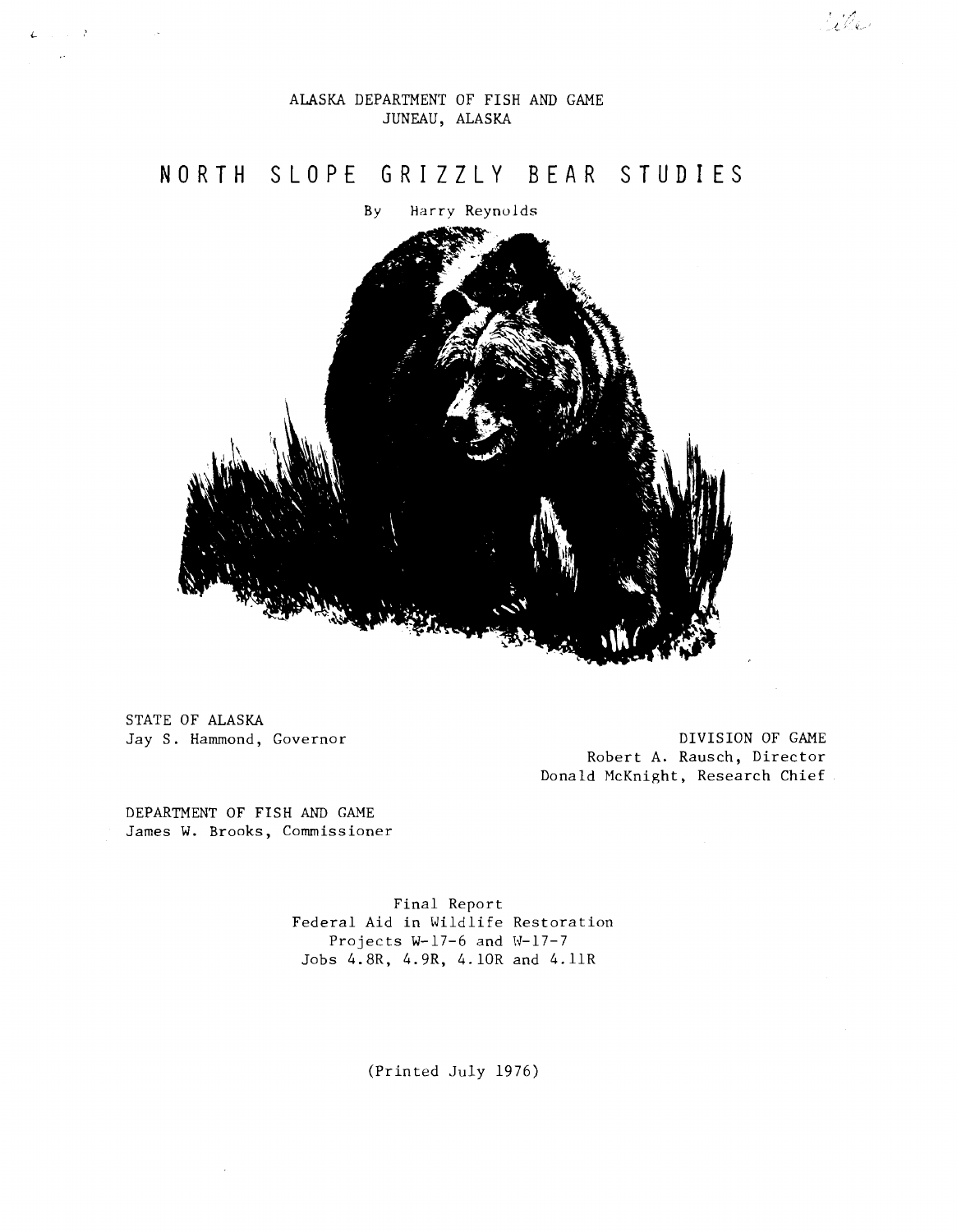# ALASKA DEPARTMENT OF FISH AND GAME JUNEAU, ALASKA

# **N 0 R T H S L 0 P E G R I Z Z L Y B EA R S T U D I E S**

By Harry Reynolds



STATE OF ALASKA

 $\sim$ 

 $L_{\rm{max}} \sim 3$  $\sim$ 

> Jay S. Hammond, Governor Came Control of GAME Robert A. Rausch, Director Donald McKnight, Research Chief

rile

DEPARTMENT OF FISH AND GAME James W. Brooks, Commissioner

> Final Report Federal Aid in Wildlife Restoration Projects W-17-6 and W-17-7 Jobs 4.8R, 4.9R, 4.lOR and 4.llR

> > (Printed July 1976)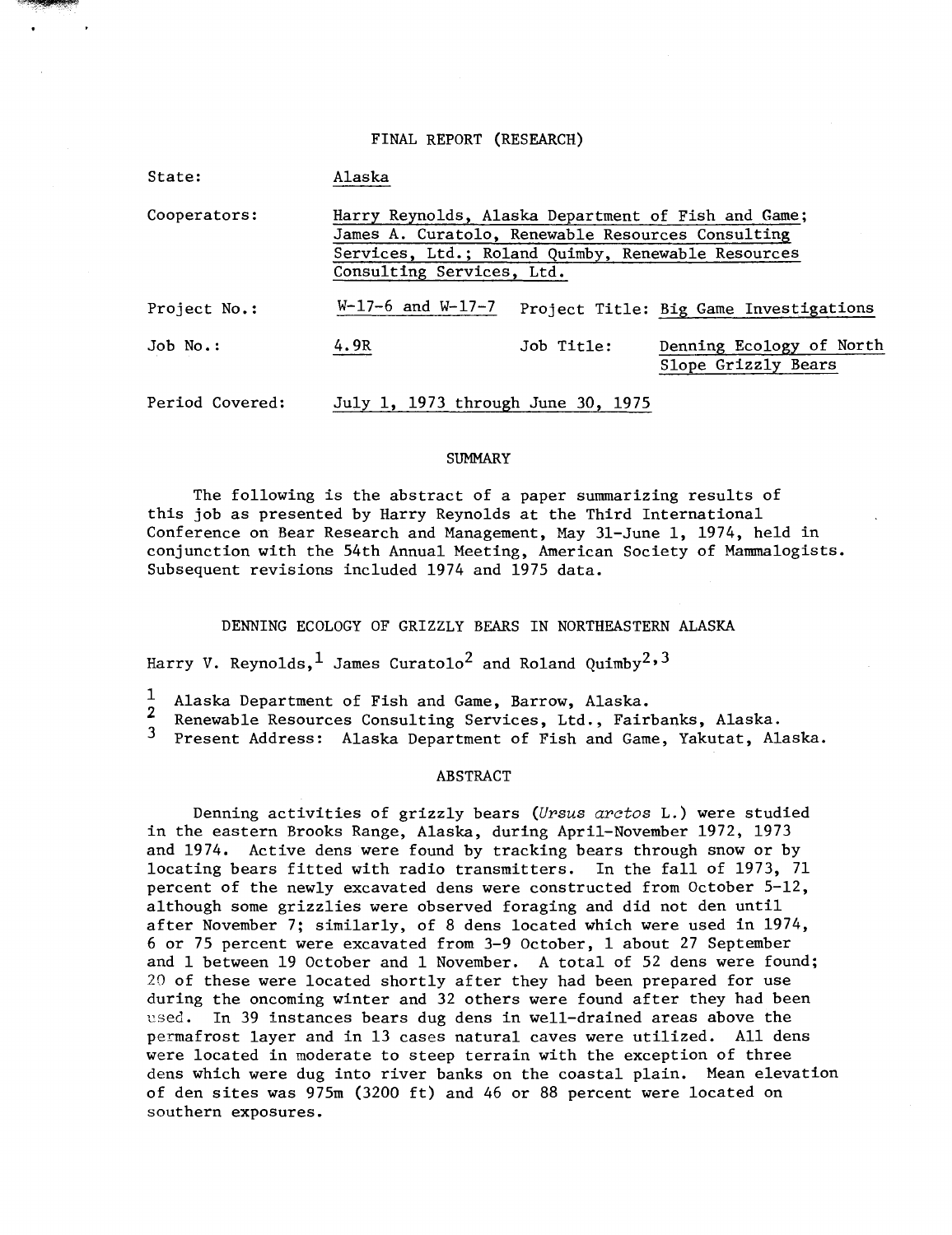### FINAL REPORT (RESEARCH)

| State:          | Alaska                                                                                                                                                                                      |            |                                                 |
|-----------------|---------------------------------------------------------------------------------------------------------------------------------------------------------------------------------------------|------------|-------------------------------------------------|
| Cooperators:    | Harry Reynolds, Alaska Department of Fish and Game;<br>James A. Curatolo, Renewable Resources Consulting<br>Services, Ltd.; Roland Quimby, Renewable Resources<br>Consulting Services, Ltd. |            |                                                 |
| Project No.:    | $W-17-6$ and $W-17-7$                                                                                                                                                                       |            | Project Title: Big Game Investigations          |
| Job No.:        | 4.9R                                                                                                                                                                                        | Job Title: | Denning Ecology of North<br>Slope Grizzly Bears |
| Period Covered: | July 1, 1973 through June 30, 1975                                                                                                                                                          |            |                                                 |

### SUMMARY

The following is the abstract of a paper summarizing results of this job as presented by Harry Reynolds at the Third International Conference on Bear Research and Management, May 31-June 1, 1974, held in conjunction with the 54th Annual Meeting, American Society of Mannnalogists. Subsequent revisions included 1974 and 1975 data.

DENNING ECOLOGY OF GRIZZLY BEARS IN NORTHEASTERN ALASKA

Harry V. Reynolds, <sup>1</sup> James Curatolo<sup>2</sup> and Roland Quimby<sup>2, 3</sup>

1 Alaska Department of Fish and Game, Barrow, Alaska.

<sup>2</sup> Renewable Resources Consulting Services, Ltd., Fairbanks, Alaska.<br><sup>3</sup> Procent Address: Alaska Department of Fish and Came, Yakutat, Al

Present Address: Alaska Department of Fish and Game, Yakutat, Alaska.

## ABSTRACT

Denning activities of grizzly bears *(Ursus arctos* L.) were studied in the eastern Brooks Range, Alaska, during April-November 1972, 1973 and 1974. Active dens were found by tracking bears through snow or by locating bears fitted with radio transmitters. In the fall of 1973, 71 percent of the newly excavated dens were constructed from October 5-12, although some grizzlies were observed foraging and did not den until after November 7; similarly, of 8 dens located which were used in 1974, 6 or 75 percent were excavated from 3-9 October, 1 about 27 September and 1 between 19 October and 1 November. A total of 52 dens were found; 20 of these were located shortly after they had been prepared for use during the oncoming winter and 32 others were found after they had been used. In 39 instances bears dug dens in well-drained areas above the permafrost layer and in 13 cases natural caves were utilized. All dens were located in moderate to steep terrain with the exception of three dens which were dug into river banks on the coastal plain. Mean elevation of den sites was 975m (3200 ft) and 46 or 88 percent were located on southern exposures.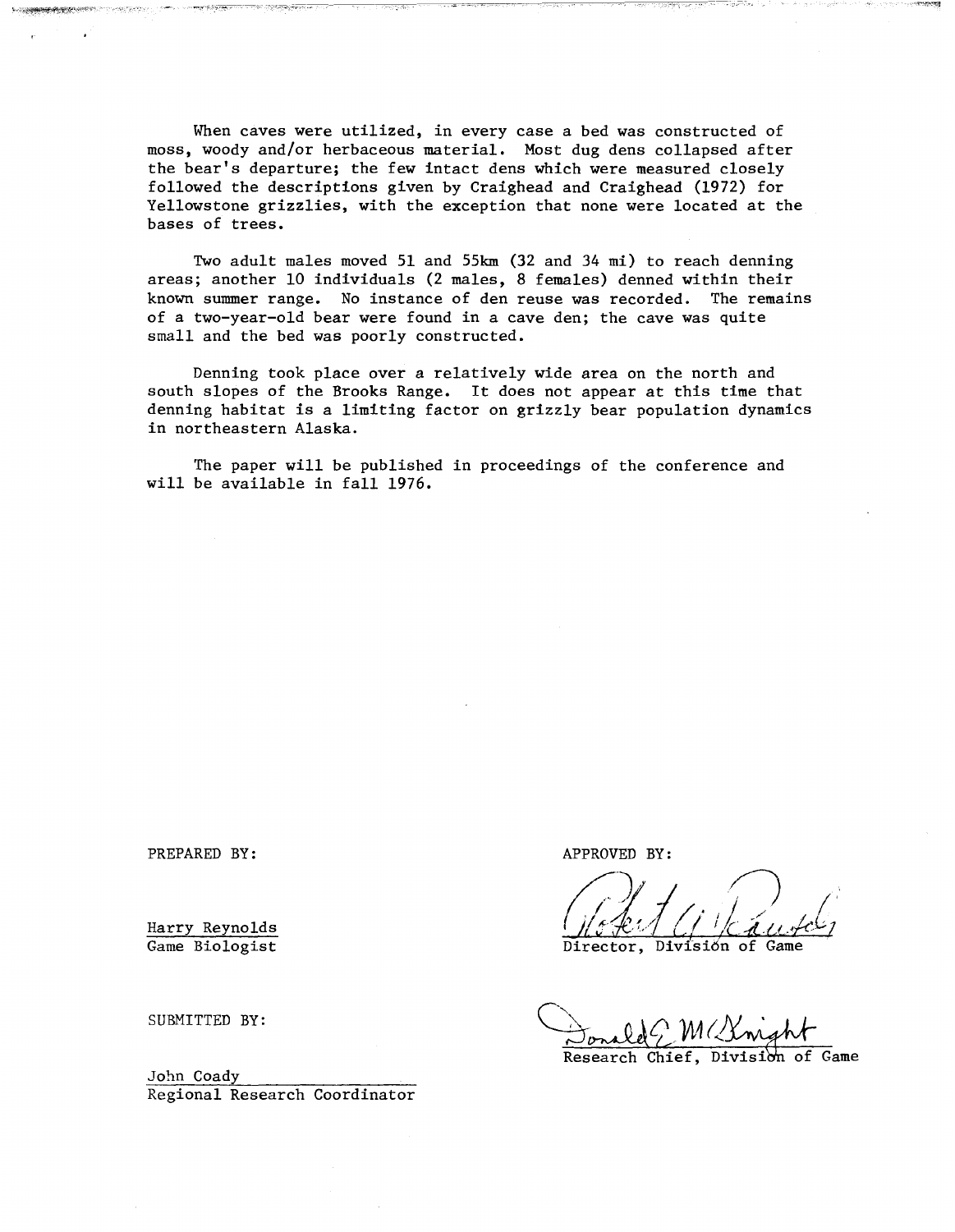When caves were utilized, in every case a bed was constructed of moss, woody and/or herbaceous material. Most dug dens collapsed after the bear's departure; the few intact dens which were measured closely followed the descriptions given by Craighead and Craighead (1972) for Yellowstone grizzlies, with the exception that none were located at the bases of trees.

.. ·,.-i.··

Two adult males moved 51 and 55km (32 and 34 mi) to reach denning areas; another 10 individuals (2 males, 8 females) denned within their known summer range. No instance of den reuse was recorded. The remains of a two-year-old bear were found in a cave den; the cave was quite small and the bed was poorly constructed.

Denning took place over a relatively wide area on the north and south slopes of the Brooks Range. It does not appear at this time that denning habitat is a limiting factor on grizzly bear population dynamics in northeastern Alaska.

The paper will be published in proceedings of the conference and will be available in fall 1976.

PREPARED BY: APPROVED BY:

Harry Reynolds Game Biologist

SUBMITTED BY:

John Coady Regional Research Coordinator

Director, Division of Game

Conald M( Longht<br>Research Chief, Division of Game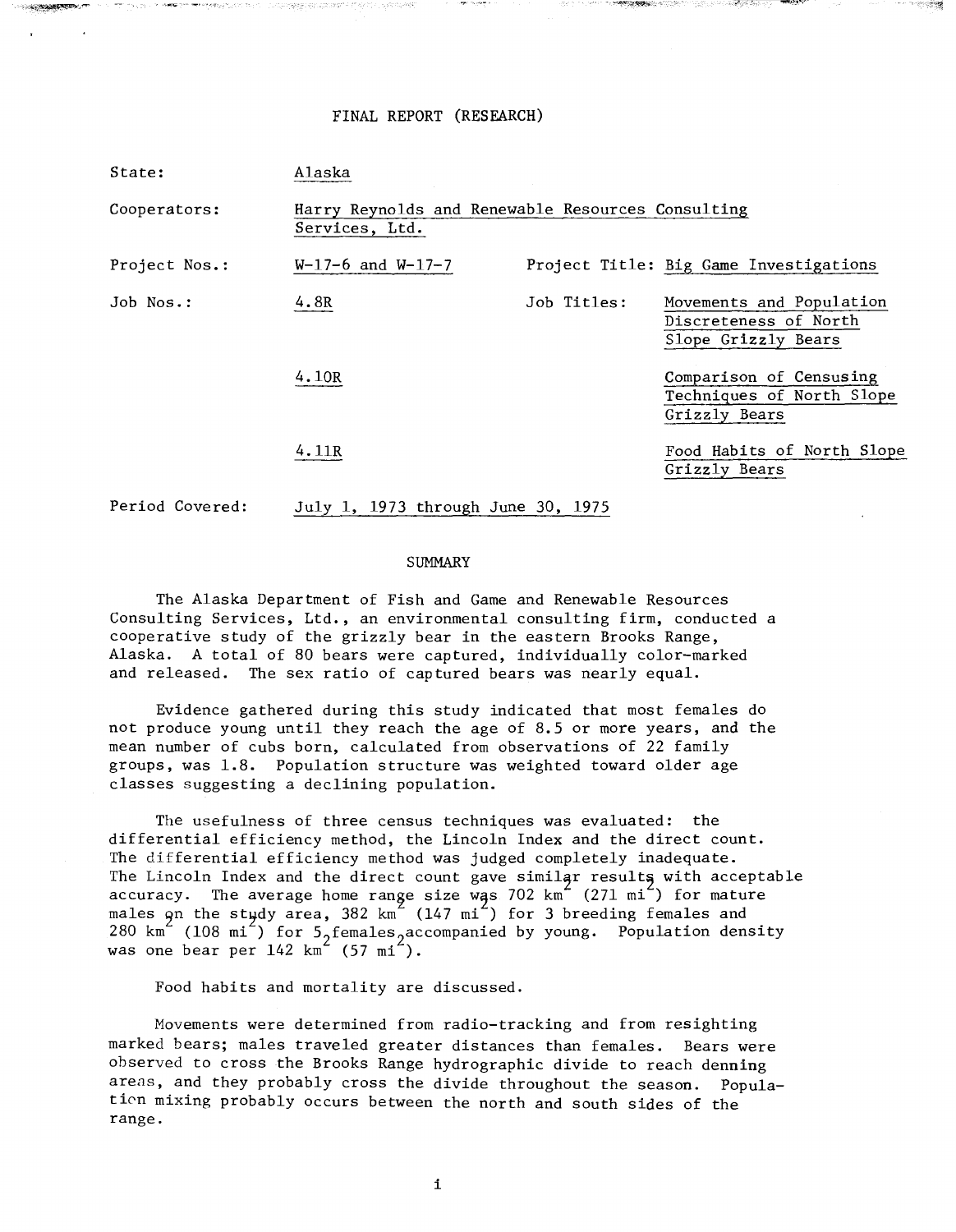# FINAL REPORT (RESEARCH)

| State:          | Alaska                                                              |             |                                                                          |
|-----------------|---------------------------------------------------------------------|-------------|--------------------------------------------------------------------------|
| Cooperators:    | Harry Reynolds and Renewable Resources Consulting<br>Services, Ltd. |             |                                                                          |
| Project Nos.:   | $W-17-6$ and $W-17-7$                                               |             | Project Title: Big Game Investigations                                   |
| Job Nos.:       | 4.8R                                                                | Job Titles: | Movements and Population<br>Discreteness of North<br>Slope Grizzly Bears |
|                 | 4.10R                                                               |             | Comparison of Censusing<br>Techniques of North Slope<br>Grizzly Bears    |
|                 | 4.11R                                                               |             | Food Habits of North Slope<br>Grizzly Bears                              |
| Period Covered: | July 1, 1973 through June 30, 1975                                  |             |                                                                          |

### SUMMARY

The Alaska Department of Fish and Game and Renewable Resources Consulting Services, Ltd., an environmental consulting firm, conducted a cooperative study of the grizzly bear in the eastern Brooks Range, Alaska. A total of 80 bears were captured, individually color-marked and released. The sex ratio of captured bears was nearly equal.

Evidence gathered during this study indicated that most females do not produce young until they reach the age of 8.5 or more years, and the mean number of cubs born, calculated from observations of 22 family groups, was 1.8. Population structure was weighted toward older age classes suggesting a declining population.

The usefulness of three census techniques was evaluated: the differential efficiency method, the Lincoln Index and the direct count. The differential efficiency method was judged completely inadequate. The Lincoln Index and the direct count gave similar results with acceptable accuracy. The average home range size was 702 km $^{2}$  (271 mi $^{2}$ ) for mature males on the stydy area, 382 km $^{\mathsf{Z}}$  (147 mi $^{\mathsf{Z}}$ ) for 3 breeding females and 280 km<sup> $\sim$ </sup> (108 mi<sup> $\sim$ </sup>) for 5, females, accompanied by young. Population density was one bear per  $142 \text{ km}^2$  (57 mi<sup>2</sup>).

Food habits and mortality are discussed.

Movements were determined from radio-tracking and from resighting marked bears; males traveled greater distances than females. Bears were observed to cross the Brooks Range hydrographic divide to reach denning areas, and they probably cross the divide throughout the season. Population mixing probably occurs between the north and south sides of the range.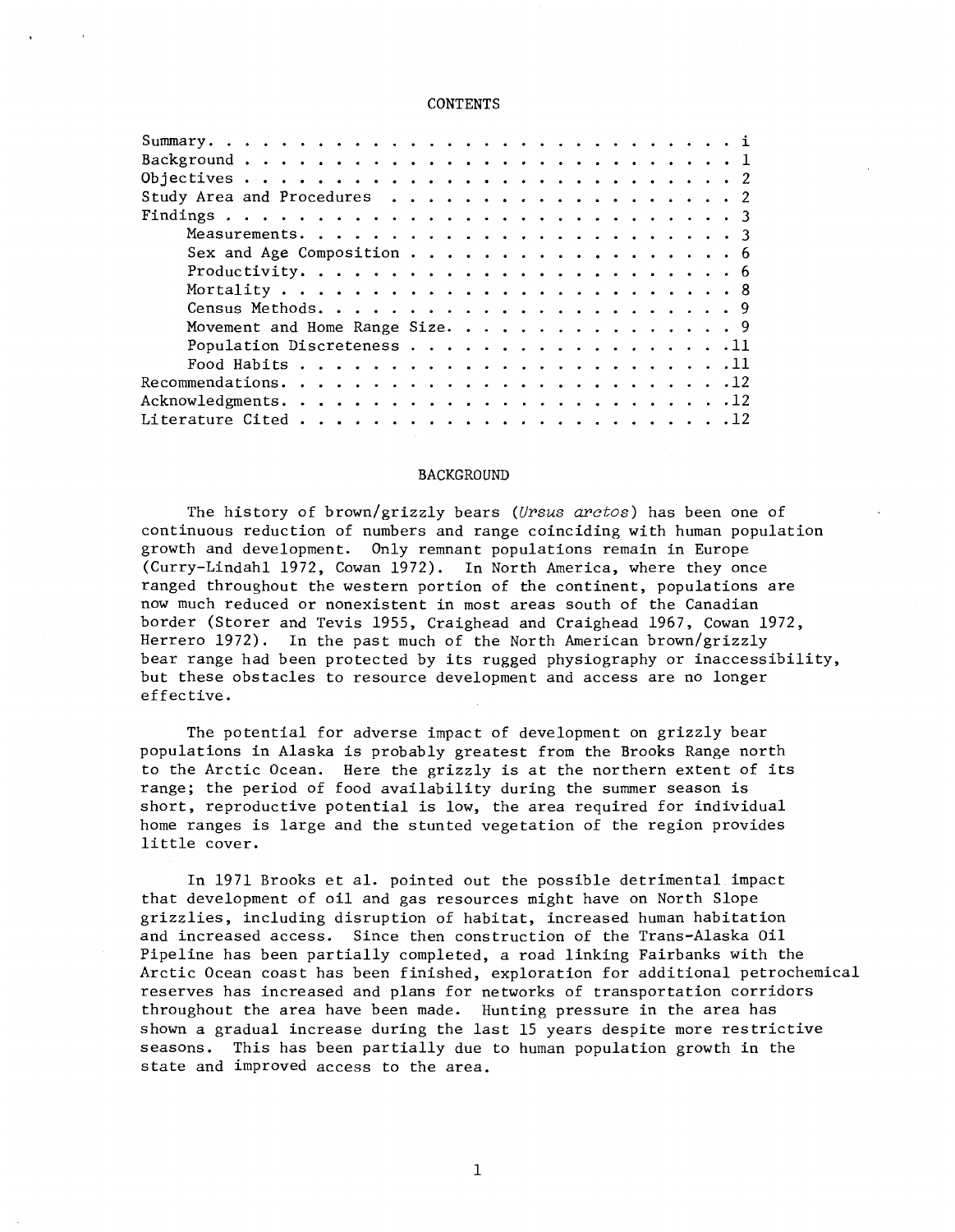# **CONTENTS**

| Study Area and Procedures 2     |  |
|---------------------------------|--|
|                                 |  |
|                                 |  |
| Sex and Age Composition 6       |  |
|                                 |  |
|                                 |  |
|                                 |  |
| Movement and Home Range Size. 9 |  |
| Population Discreteness 11      |  |
|                                 |  |
|                                 |  |
|                                 |  |
|                                 |  |

### **BACKGROUND**

The history of brown/grizzly bears *(Ursus arctos)* has been one of continuous reduction of numbers and range coinciding with human population growth and development. Only remnant populations remain in Europe (Curry-Lindahl 1972, Cowan 1972). In North America, where they once ranged throughout the western portion of the continent, populations are now much reduced or nonexistent in most areas south of the Canadian border (Storer and Tevis 1955, Craighead and Craighead 1967, Cowan 1972, Herrero 1972). In the past much of the North American brown/grizzly bear range had been protected by its rugged physiography or inaccessibility, but these obstacles to resource development and access are no longer effective.

The potential for adverse impact of development on grizzly bear populations in Alaska is probably greatest from the Brooks Range north to the Arctic Ocean. Here the grizzly is at the northern extent of its range; the period of food availability during the summer season is short, reproductive potential is low, the area required for individual home ranges is large and the stunted vegetation of the region provides little cover.

In 1971 Brooks et al. pointed out the possible detrimental impact that development of oil and gas resources might have on North Slope grizzlies, including disruption of habitat, increased human habitation and increased access. Since then construction of the Trans-Alaska Oil Pipeline has been partially completed, a road linking Fairbanks with the Arctic Ocean coast has been finished, exploration for additional petrochemical reserves has increased and plans for networks of transportation corridors throughout the area have been made. Hunting pressure in the area has shown a gradual increase during the last 15 years despite more restrictive seasons. This has been partially due to human population growth in the state and improved access to the area.

1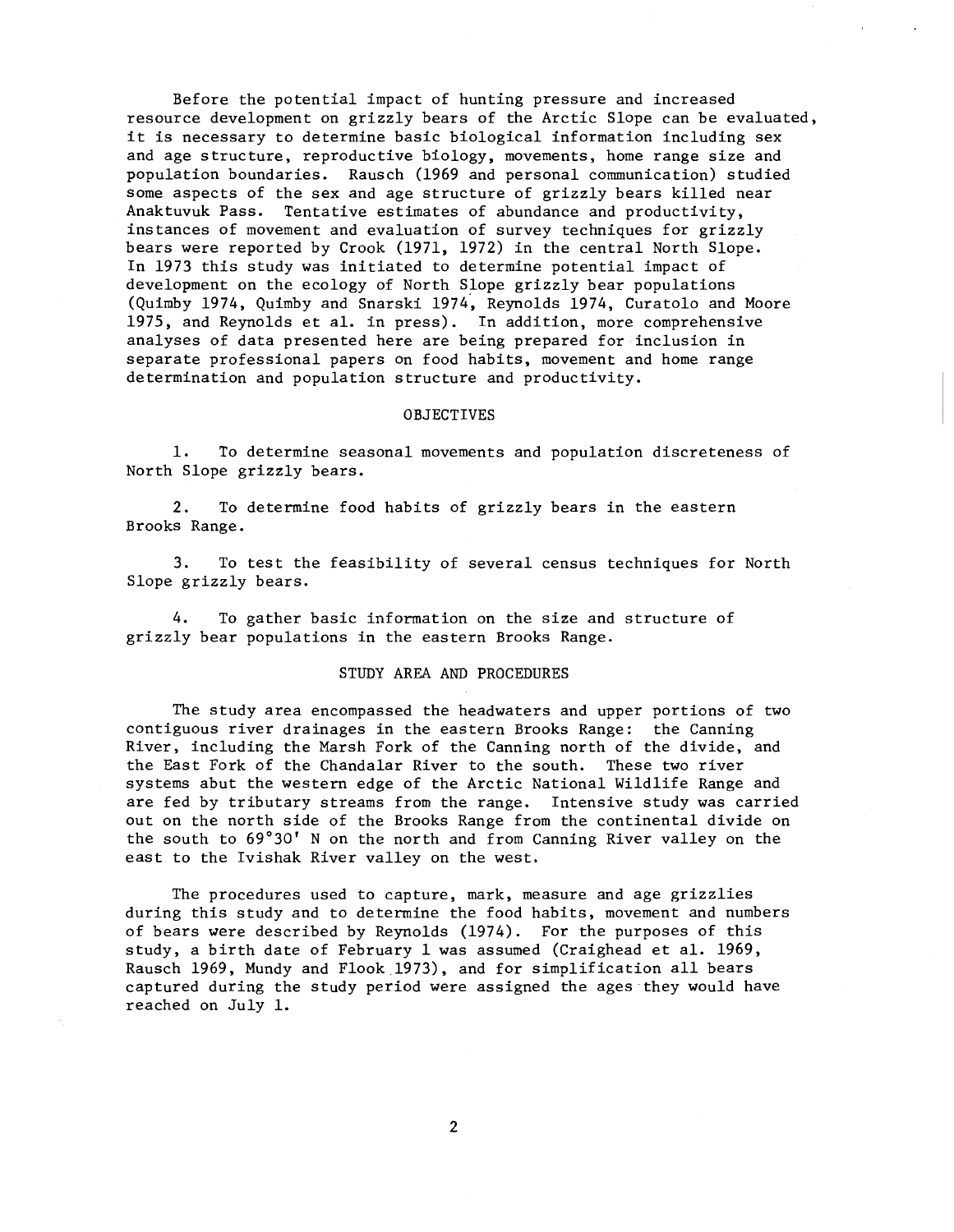Before the potential impact of hunting pressure and increased resource development on grizzly bears of the Arctic Slope can be evaluated, it is necessary to determine basic biological information including sex and age structure, reproductive biology, movements, home range size and population boundaries. Rausch (1969 and personal communication) studied some aspects of the sex and age structure of grizzly bears killed near Anaktuvuk Pass. Tentative estimates of abundance and productivity, instances of movement and evaluation of survey techniques for grizzly bears were reported by Crook (1971, 1972) in the central North Slope. In 1973 this study was initiated to determine potential impact of development on the ecology of North Slope grizzly bear populations (Quimby 1974, Quimby and Snarski 1974, Reynolds 1974, Curatolo and Moore 1975, and Reynolds et al. in press). In addition, more comprehensive analyses of data presented here are being prepared for inclusion in separate professional papers on food habits, movement and home range determination and population structure and productivity.

### OBJECTIVES

1. To determine seasonal movements and population discreteness of North Slope grizzly bears.

2. To determine food habits of grizzly bears in the eastern Brooks Range.

3. To test the feasibility of several census techniques for North Slope grizzly bears.

4. To gather basic information on the size and structure of grizzly bear populations in the eastern Brooks Range.

# STUDY AREA AND PROCEDURES

The study area encompassed the headwaters and upper portions of two contiguous river drainages in the eastern Brooks Range: the Canning River, including the Marsh Fork of the Canning north of the divide, and the East Fork of the Chandalar River to the south. These two river systems abut the western edge of the Arctic National Wildlife Range and are fed by tributary streams from the range. Intensive study was carried out on the north side of the Brooks Range from the continental divide on the south to 69°30' N on the north and from Canning River valley on the east to the Ivishak River valley on the west.

The procedures used to capture, mark, measure and age grizzlies during this study and to determine the food habits, movement and numbers of bears were described by Reynolds (1974). For the purposes of this study, a birth date of February 1 was assumed (Craighead et al. 1969, Rausch 1969, Mundy and Flook 1973), and for simplification all bears captured during the study period were assigned the ages they would have reached on July 1.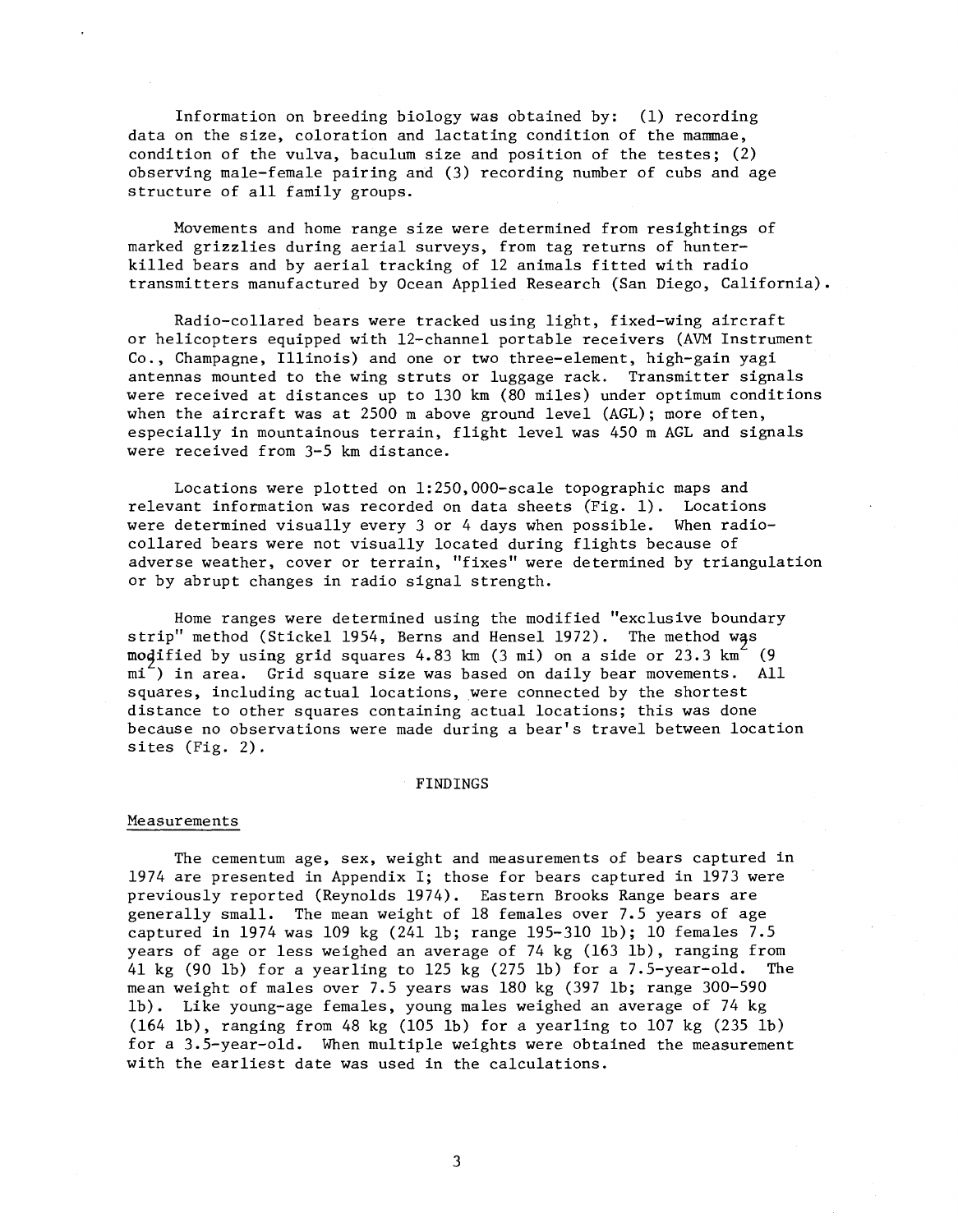Information on breeding biology was obtained by: (1) recording data on the size, coloration and lactating condition of the mammae, condition of the vulva, baculum size and position of the testes;  $(2)$ observing male-female pairing and (3) recording number of cubs and age structure of all family groups.

Movements and home range size were determined from resightings of marked grizzlies during aerial surveys, from tag returns of hunterkilled bears and by aerial tracking of 12 animals fitted with radio transmitters manufactured by Ocean Applied Research (San Diego, California).

Radio-collared bears were tracked using light, fixed-wing aircraft or helicopters equipped with 12-channel portable receivers (AVM Instrument Co., Champagne, Illinois) and one or two three-element, high-gain yagi antennas mounted to the wing struts or luggage rack. Transmitter signals were received at distances up to 130 km (80 miles) under optimum conditions when the aircraft was at 2500 m above ground level (AGL); more often, especially in mountainous terrain, flight level was 450 m AGL and signals were received from 3-5 km distance.

Locations were plotted on 1:250,000-scale topographic maps and relevant information was recorded on data sheets (Fig. 1). Locations were determined visually every 3 or 4 days when possible. When radiocollared bears were not visually located during flights because of adverse weather, cover or terrain, "fixes" were determined by triangulation or by abrupt changes in radio signal strength.

Home ranges were determined using the modified "exclusive boundary strip" method (Stickel 1954, Berns and Hensel 1972). The method was modified by using grid squares 4.83 km (3 mi) on a side or 23.3 km<sup>2</sup> (9 mi<sup>-</sup>) in area. Grid square size was based on daily bear movements. All squares, including actual locations, were connected by the shortest distance to other squares containing actual locations; this was done because no observations were made during a bear's travel between location sites (Fig. 2).

### FINDINGS

### Measurements

The cementum age, sex, weight and measurements of bears captured in 1974 are presented in Appendix I; those for bears captured in 1973 were previously reported (Reynolds 1974). Eastern Brooks Range bears are generally small. The mean weight of 18 females over 7.5 years of age captured in 1974 was 109 kg (241 lb; range 195-310 lb); 10 females 7.5 years of age or less weighed an average of 74 kg (163 lb), ranging from 41 kg (90 lb) for a yearling to 125 kg (275 lb) for a 7.5-year-old. The mean weight of males over 7.5 years was 180 kg (397 lb; range 300-590 lb). Like young-age females, young males weighed an average of 74 kg (164 lb), ranging from 48 kg (105 lb) for a yearling to 107 kg (235 lb) for a 3.5-year-old. When multiple weights were obtained the measurement with the earliest date was used in the calculations.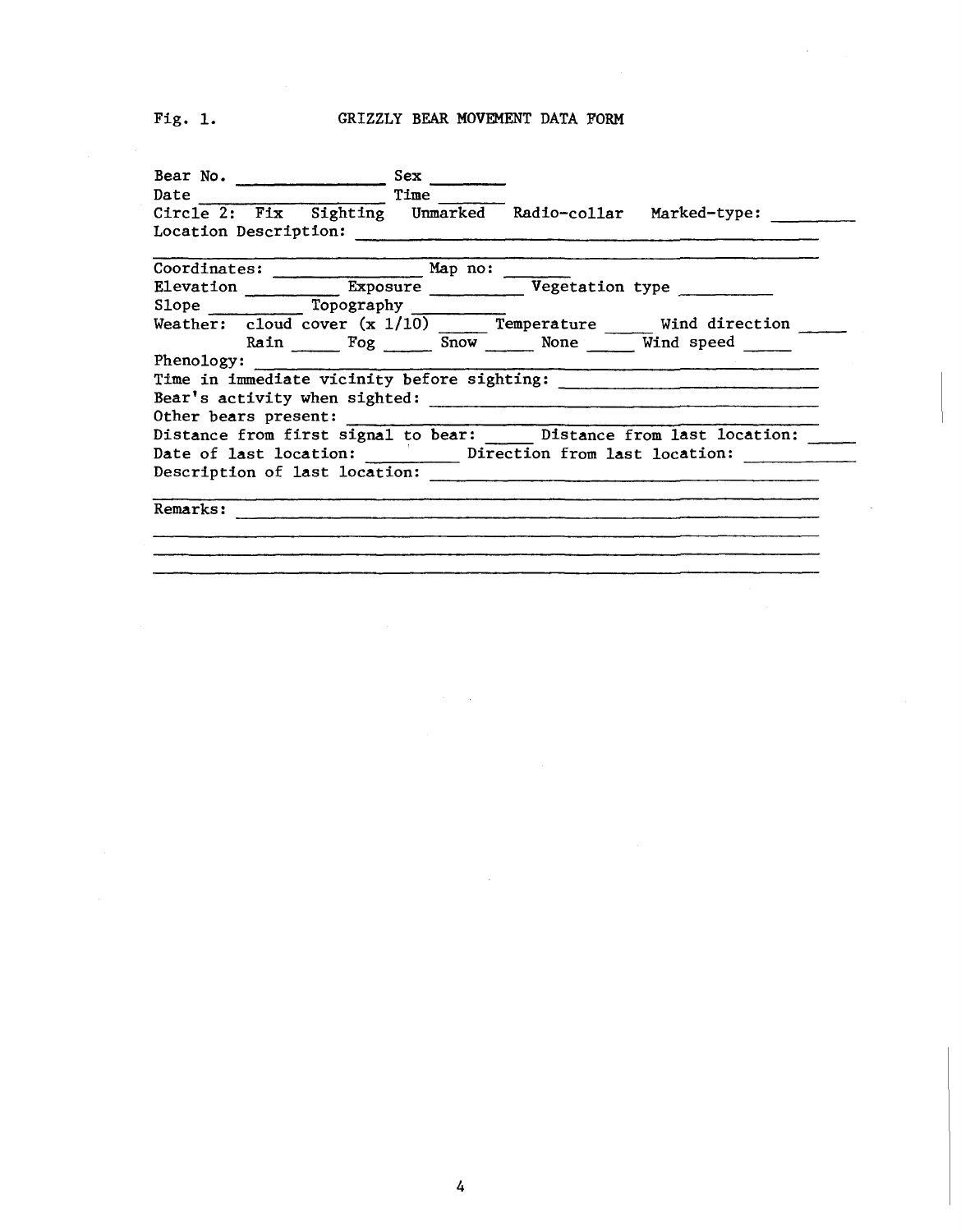# Fig. 1. GRIZZLY BEAR MOVEMENT DATA FORM

| Bear No.                                                                                                                                                                                                                       |                       | Sex                                           |                                                                  |
|--------------------------------------------------------------------------------------------------------------------------------------------------------------------------------------------------------------------------------|-----------------------|-----------------------------------------------|------------------------------------------------------------------|
| Date and the second state of the second state and state and state and state and state and state and state and state and state and state and state and state and state and state and state and state and state and state and st |                       | Time                                          |                                                                  |
|                                                                                                                                                                                                                                |                       |                                               | Circle 2: Fix Sighting Unmarked Radio-collar Marked-type:        |
|                                                                                                                                                                                                                                | Location Description: |                                               |                                                                  |
|                                                                                                                                                                                                                                |                       | Coordinates: <u>_________________</u> Map no: |                                                                  |
|                                                                                                                                                                                                                                |                       |                                               | Elevation Exposure Vegetation type                               |
|                                                                                                                                                                                                                                |                       | Slope Topography                              |                                                                  |
|                                                                                                                                                                                                                                |                       |                                               | Weather: cloud cover (x 1/10) Temperature Wind direction         |
|                                                                                                                                                                                                                                |                       |                                               | Rain Fog Snow None Wind speed                                    |
| Phenology:                                                                                                                                                                                                                     |                       |                                               |                                                                  |
|                                                                                                                                                                                                                                |                       |                                               |                                                                  |
|                                                                                                                                                                                                                                |                       |                                               |                                                                  |
|                                                                                                                                                                                                                                | Other bears present:  |                                               |                                                                  |
|                                                                                                                                                                                                                                |                       |                                               | Distance from first signal to bear: Distance from last location: |
|                                                                                                                                                                                                                                |                       |                                               | Date of last location: Direction from last location:             |
|                                                                                                                                                                                                                                |                       | Description of last location:                 |                                                                  |
| Remarks:                                                                                                                                                                                                                       |                       |                                               |                                                                  |
|                                                                                                                                                                                                                                |                       |                                               |                                                                  |
|                                                                                                                                                                                                                                |                       |                                               |                                                                  |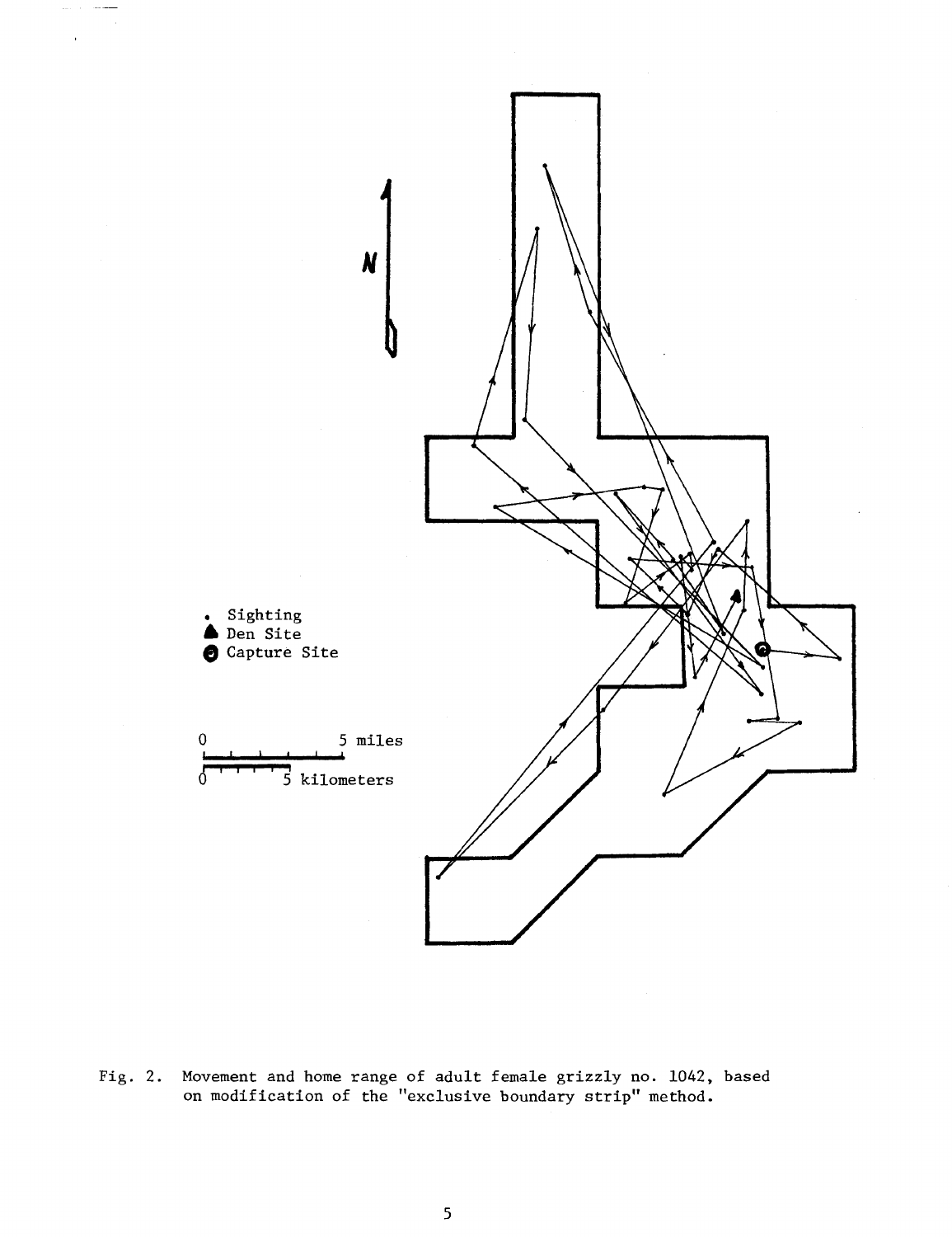

Fig. 2. Movement and home range of adult female grizzly no. 1042, based on modification of the "exclusive boundary strip" method.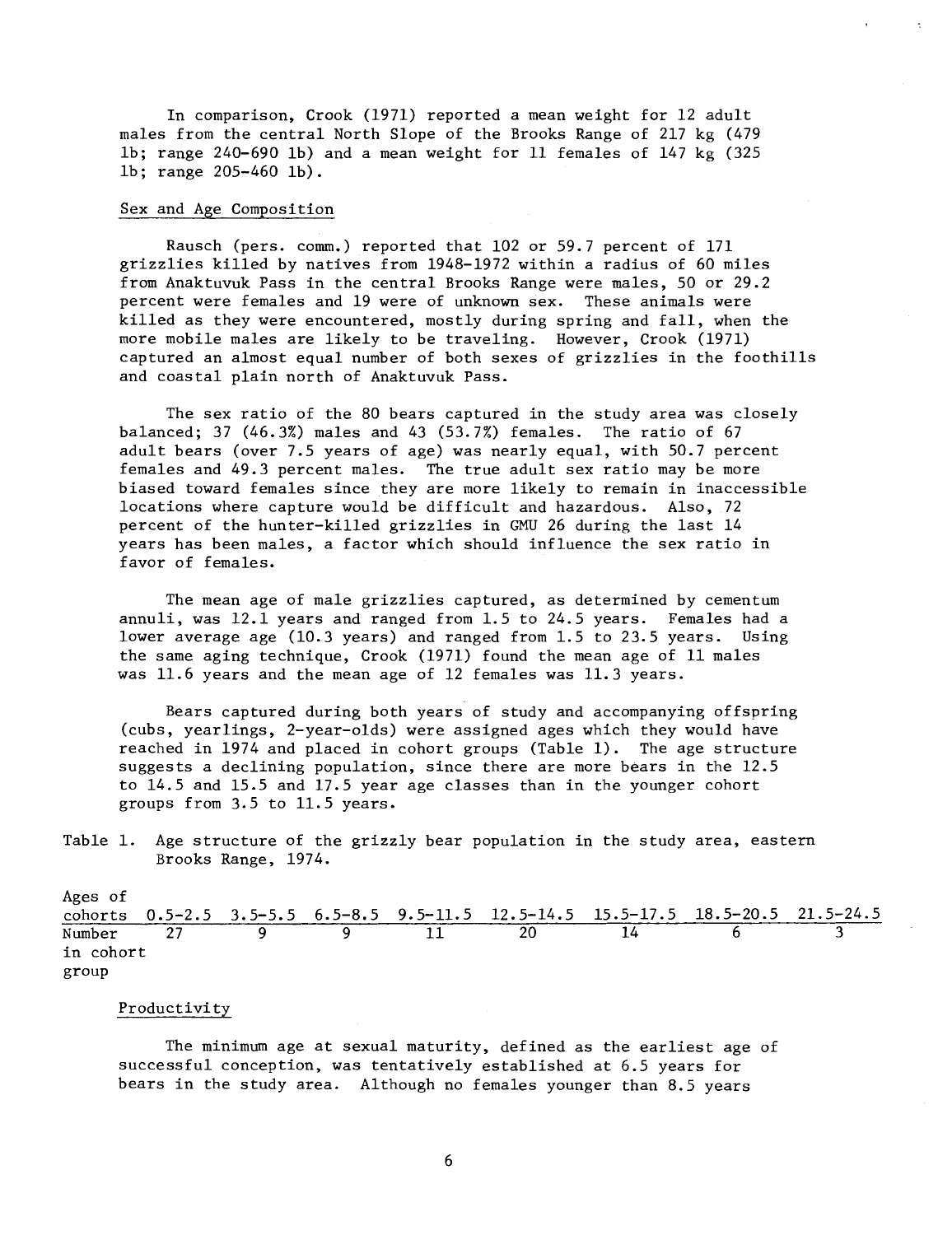In comparison, Crook (1971) reported a mean weight for 12 adult males from the central North Slope of the Brooks Range of 217 kg (479 lb; range 240-690 lb) and a mean weight for 11 females of 147 kg (325 lb; range 205-460 lb).

### Sex and Age Composition

Rausch (pers. comm.) reported that 102 or 59.7 percent of 171 grizzlies killed by natives from 1948-1972 within a radius of 60 miles from Anaktuvuk Pass in the central Brooks Range were males, 50 or 29.2 percent were females and 19 were of unknown sex. These animals were killed as they were encountered, mostly during spring and fall, when the more mobile males are likely to be traveling. However, Crook (1971) captured an almost equal number of both sexes of grizzlies in the foothills and coastal plain north of Anaktuvuk Pass.

The sex ratio of the 80 bears captured in the study area was closely balanced; 37 (46.3%) males and 43 (53.7%) females. The ratio of 67 adult bears (over 7.5 years of age) was nearly equal, with 50.7 percent females and 49.3 percent males. The true adult sex ratio may be more biased toward females since they are more likely to remain in inaccessible locations where capture would be difficult and hazardous. Also, 72 percent of the hunter-killed grizzlies in GMU 26 during the last 14 years has been males, a factor which should influence the sex ratio in favor of females.

The mean age of male grizzlies captured, as determined by cementum annuli, was 12.1 years and ranged from 1.5 to 24.5 years. Females had a lower average age (10.3 years) and ranged from 1.5 to 23.5 years. Using the same aging technique, Crook (1971) found the mean age of 11 males was 11.6 years and the mean age of 12 females was 11.3 years.

Bears captured during both years of study and accompanying offspring (cubs, yearlings, 2-year-olds) were assigned ages which they would have reached in 1974 and placed in cohort groups (Table 1). The age structure suggests a declining population, since there are more bears in the 12.5 to 14.5 and 15.5 and 17.5 year age classes than in the younger cohort groups from 3.5 to 11.5 years.

Table 1. Age structure of the grizzly bear population in the study area, eastern Brooks Range, 1974.

| Ages of   |  |  |                                                                                  |  |
|-----------|--|--|----------------------------------------------------------------------------------|--|
|           |  |  | cohorts 0.5-2.5 3.5-5.5 6.5-8.5 9.5-11.5 12.5-14.5 15.5-17.5 18.5-20.5 21.5-24.5 |  |
| Number    |  |  |                                                                                  |  |
| in cohort |  |  |                                                                                  |  |
| group     |  |  |                                                                                  |  |

# Productivity

The minimum age at sexual maturity, defined as the earliest age of successful conception, was tentatively established at 6.5 years for bears in the study area. Although no females younger than 8.5 years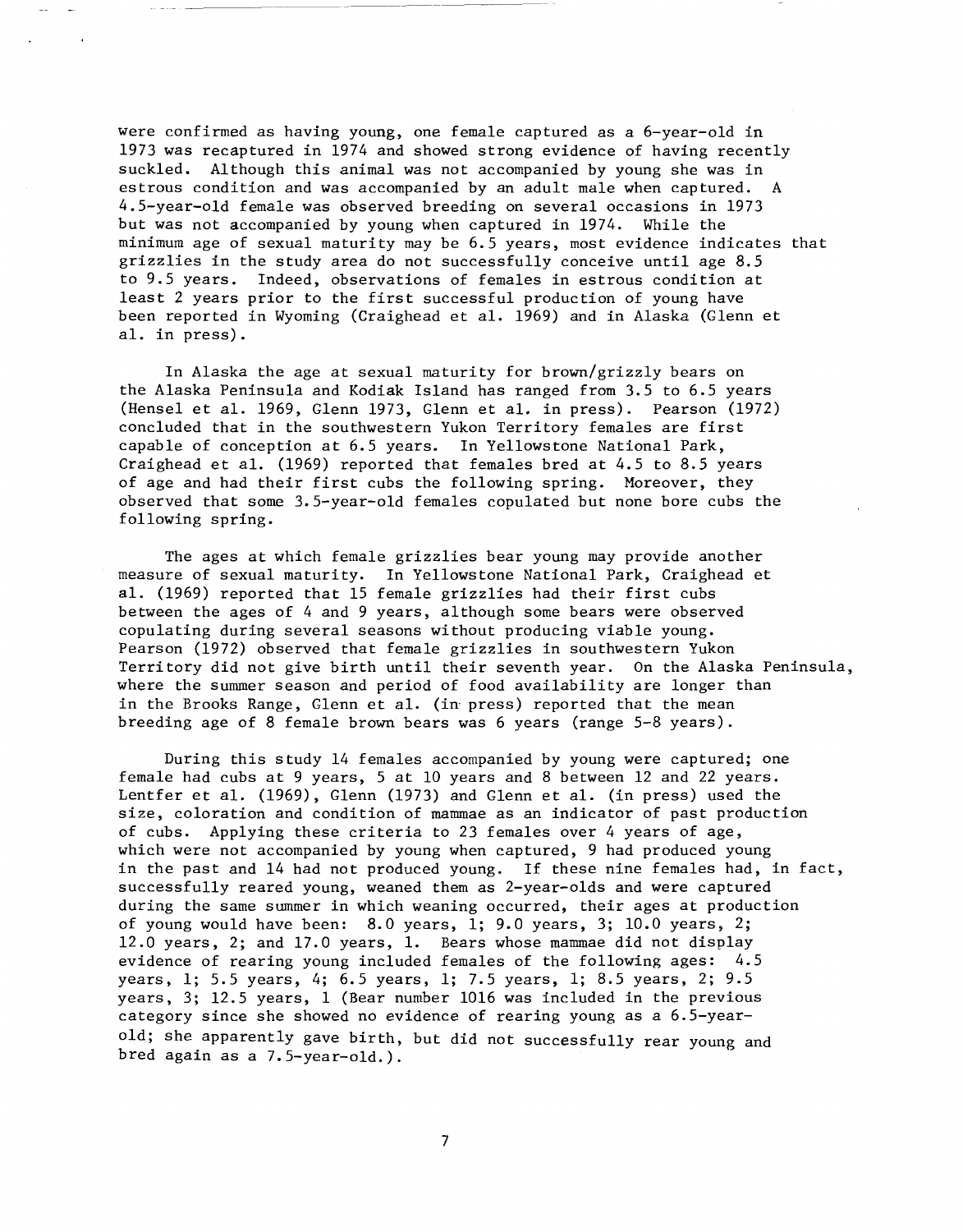were confirmed as having young, one female captured as a 6-year-old in 1973 was recaptured in 1974 and showed strong evidence of having recently suckled. Although this animal was not accompanied by young she was in estrous condition and was accompanied by an adult male when captured. A 4.5-year-old female was observed breeding on several occasions in 1973 but was not accompanied by young when captured in 1974. While the minimum age of sexual maturity may be 6.5 years, most evidence indicates that grizzlies in the study area do not successfully conceive until age 8.5 to 9.5 years. Indeed, observations of females in estrous condition at least 2 years prior to the first successful production of young have been reported in Wyoming (Craighead et al. 1969) and in Alaska (Glenn et al. in press).

In Alaska the age at sexual maturity for brown/grizzly bears on the Alaska Peninsula and Kodiak Island has ranged from 3.5 to 6.5 years (Hensel et al. 1969, Glenn 1973, Glenn et al. in press). Pearson (1972) concluded that in the southwestern Yukon Territory females are first capable of conception at 6.5 years. In Yellowstone National Park, Craighead et al. (1969) reported that females bred at 4.5 to 8.5 years of age and had their first cubs the following spring. Moreover, they observed that some 3.5-year-old females copulated but none bore cubs the following spring.

The ages at which female grizzlies bear young may provide another measure of sexual maturity. In Yellowstone National Park, Craighead et al. (1969) reported that 15 female grizzlies had their first cubs between the ages of 4 and 9 years, although some bears were observed copulating during several seasons without producing viable young. Pearson (1972) observed that female grizzlies in southwestern Yukon Territory did not give birth until their seventh year. On the Alaska Peninsula, where the summer season and period of food availability are longer than in the Brooks Range, Glenn et al. (in press) reported that the mean breeding age of 8 female brown bears was 6 years (range 5-8 years).

During this study 14 females accompanied by young were captured; one female had cubs at 9 years, 5 at 10 years and 8 between 12 and 22 years. Lentfer et al. (1969), Glenn (1973) and Glenn et al. (in press) used the size, coloration and condition of mammae as an indicator of past production of cubs. Applying these criteria to 23 females over 4 years of age, which were not accompanied by young when captured, 9 had produced young in the past and 14 had not produced young. If these nine females had, in fact, successfully reared young, weaned them as 2-year-olds and were captured during the same summer in which weaning occurred, their ages at production of young would have been: 8.0 years, l; 9.0 years, 3; 10.0 years, 2; 12.0 years, 2; and 17.0 years, 1. Bears whose mammae did not display evidence of rearing young included females of the following ages: 4.5 years, l; 5.5 years, 4; 6.5 years, l; 7.5 years, l; 8.5 years, 2; 9.5 years, 3; 12.5 years, 1 (Bear number 1016 was included in the previous category since she showed no evidence of rearing young as a 6.5-yearold; she apparently gave birth, but did not successfully rear young and bred again as a 7.5-year-old.).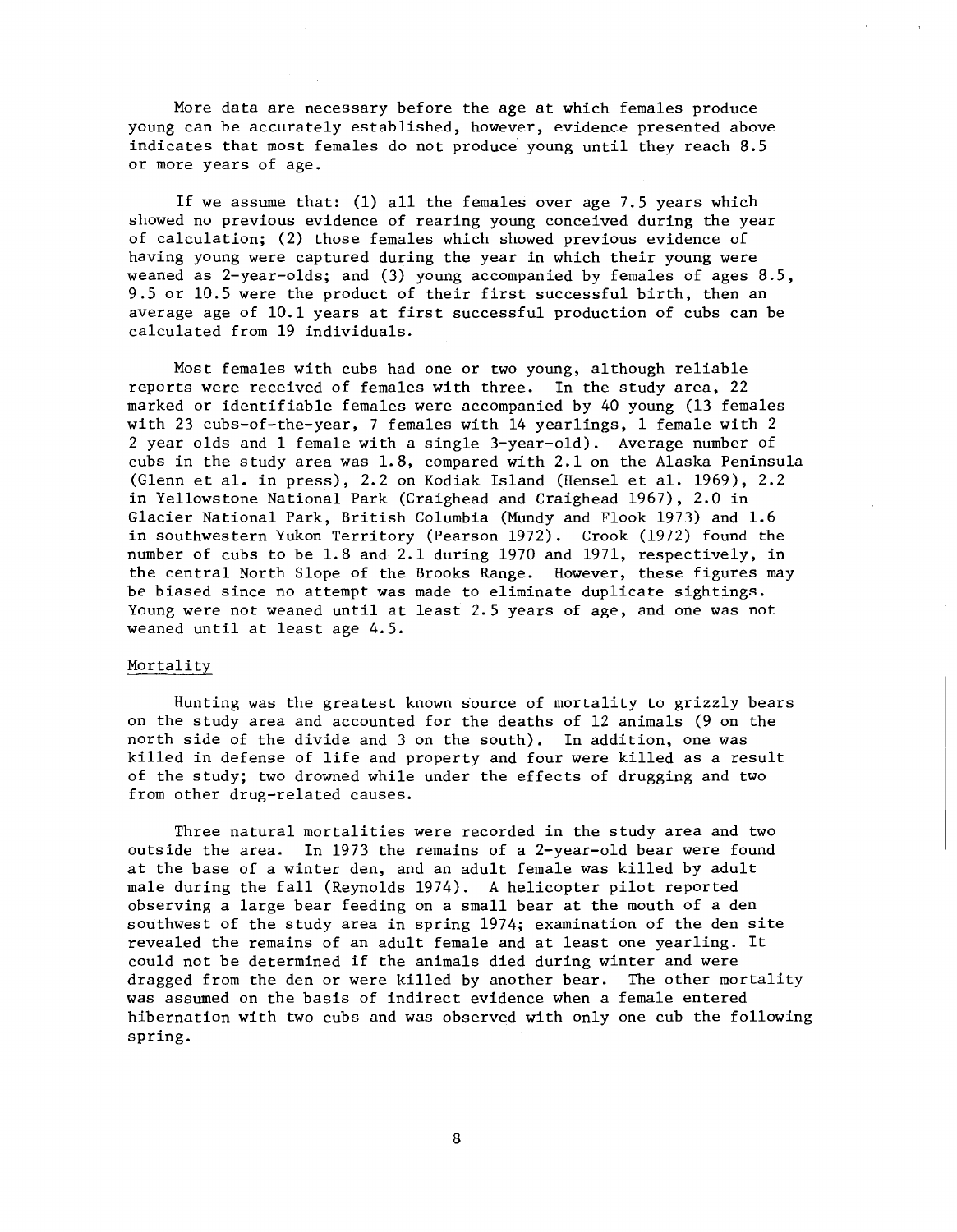More data are necessary before the age at which females produce young can be accurately established, however, evidence presented above indicates that most females do not produce young until they reach 8.5 or more years of age.

If we assume that: (1) all the females over age 7.5 years which showed no previous evidence of rearing young conceived during the year of calculation; (2) those females which showed previous evidence of having young were captured during the year in which their young were weaned as 2-year-olds; and (3) young accompanied by females of ages 8.5, 9.5 or 10.5 were the product of their first successful birth, then an average age of 10.1 years at first successful production of cubs can be calculated from 19 individuals.

Most females with cubs had one or two young, although reliable reports were received of females with three. In the study area, 22 marked or identifiable females were accompanied by 40 young (13 females with 23 cubs-of-the-year, 7 females with 14 yearlings, 1 female with 2 2 year olds and 1 female with a single 3-year-old). Average number of cubs in the study area was 1.8, compared with 2.1 on the Alaska Peninsula (Glenn et al. in press), 2.2 on Kodiak Island (Hensel et al. 1969), 2.2 in Yellowstone National Park (Craighead and Craighead 1967), 2.0 in Glacier National Park, British Columbia (Mundy and Flook 1973) and 1.6 in southwestern Yukon Territory (Pearson 1972). Crook (1972) found the number of cubs to be 1.8 and 2.1 during 1970 and 1971, respectively, in the central North Slope of the Brooks Range. However, these figures may be biased since no attempt was made to eliminate duplicate sightings. Young were not weaned until at least 2.5 years of age, and one was not weaned until at least age 4.5.

# Mortality

Hunting was the greatest known source of mortality to grizzly bears on the study area and accounted for the deaths of 12 animals (9 on the north side of the divide and 3 on the south). In addition, one was killed in defense of life and property and four were killed as a result of the study; two drowned while under the effects of drugging and two from other drug-related causes.

Three natural mortalities were recorded in the study area and two outside the area. In 1973 the remains of a 2-year-old bear were found at the base of a winter den, and an adult female was killed by adult male during the fall (Reynolds 1974). A helicopter pilot reported observing a large bear feeding on a small bear at the mouth of a den southwest of the study area in spring 1974; examination of the den site revealed the remains of an adult female and at least one yearling. It could not be determined if the animals died during winter and were dragged from the den or were killed by another bear. The other mortality was assumed on the basis of indirect evidence when a female entered hibernation with two cubs and was observed with only one cub the following spring.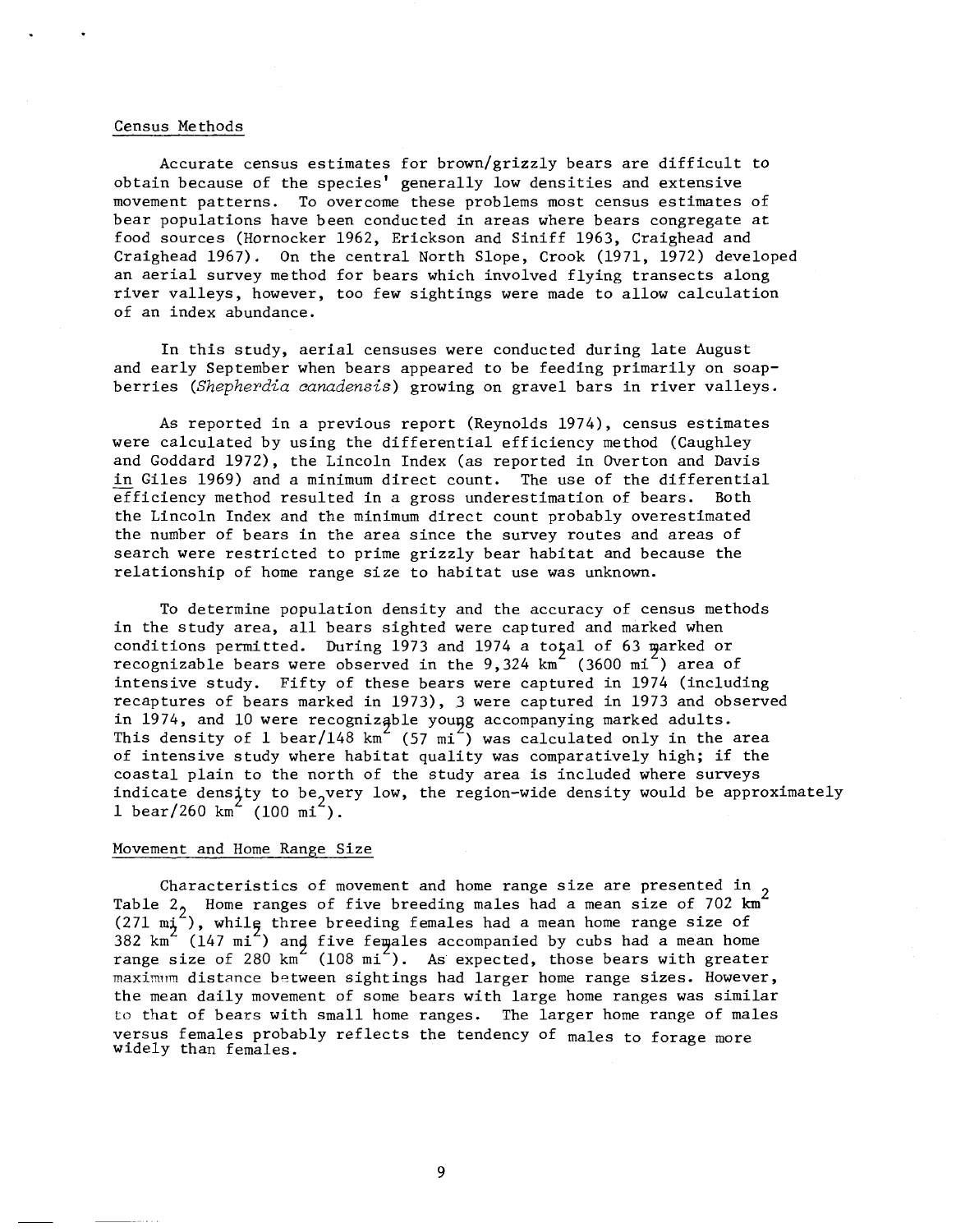## Census Methods

Accurate census estimates for brown/grizzly bears are difficult to obtain because of the species' generally low densities and extensive movement patterns. To overcome these problems most census estimates of bear populations have been conducted in areas where bears congregate at food sources (Hornocker 1962, Erickson and Siniff 1963, Craighead and Craighead 1967). On the central North Slope, Crook (1971, 1972) developed an aerial survey method for bears which involved flying transects along river valleys, however, too few sightings were made to allow calculation of an index abundance.

In this study, aerial censuses were conducted during late August and early September when bears appeared to be feeding primarily on soapberries *(Shepherdia canadensis)* growing on gravel bars in river valleys.

As reported in a previous report (Reynolds 1974), census estimates were calculated by using the differential efficiency method (Caughley and Goddard 1972), the Lincoln Index (as reported in Overton and Davis in Giles 1969) and a minimum direct count. The use of the differential efficiency method resulted in a gross underestimation of bears. Both the Lincoln Index and the minimum direct count probably overestimated the number of bears in the area since the survey routes and areas of search were restricted to prime grizzly bear habitat and because the relationship of home range size to habitat use was unknown.

To determine population density and the accuracy of census methods in the study area, all bears sighted were captured and marked when conditions permitted. During 1973 and 1974 a total of 63 marked or recognizable bears were observed in the  $9,324$  km<sup> $2$ </sup> (3600 mi<sup> $2$ </sup>) area of intensive study. Fifty of these bears were captured in 1974 (including recaptures of bears marked in 1973), 3 were captured in 1973 and observed in 1974, and 10 were recognizable young accompanying marked adults. This density of 1 bear/148  $km^2$  (57 mi<sup>2</sup>) was calculated only in the area of intensive study where habitat quality was comparatively high; if the coastal plain to the north of the study area is included where surveys indicate density to be very low, the region-wide density would be approximately 1 bear/260 km (100 mi).

### Movement and Home Range Size

Characteristics of movement and home range size are presented in 2<br>Table 2 Home ranges of five breeding males had a mean size of 702 km<sup>2</sup>  $(271 m<sub>j</sub><sup>2</sup>)$ , while three breeding females had a mean home range size of 382 km<sup>2</sup> (147 mi<sup>2</sup>) and five females accompanied by cubs had a mean home range size of 280  $km^2$  (108 mi<sup>2</sup>). As expected, those bears with greater maximum distance between sightings had larger home range sizes. However, the mean daily movement of some bears with large home ranges was similar to that of bears with small home ranges. The larger home range of males versus females probably reflects the tendency of males to forage more widely than females.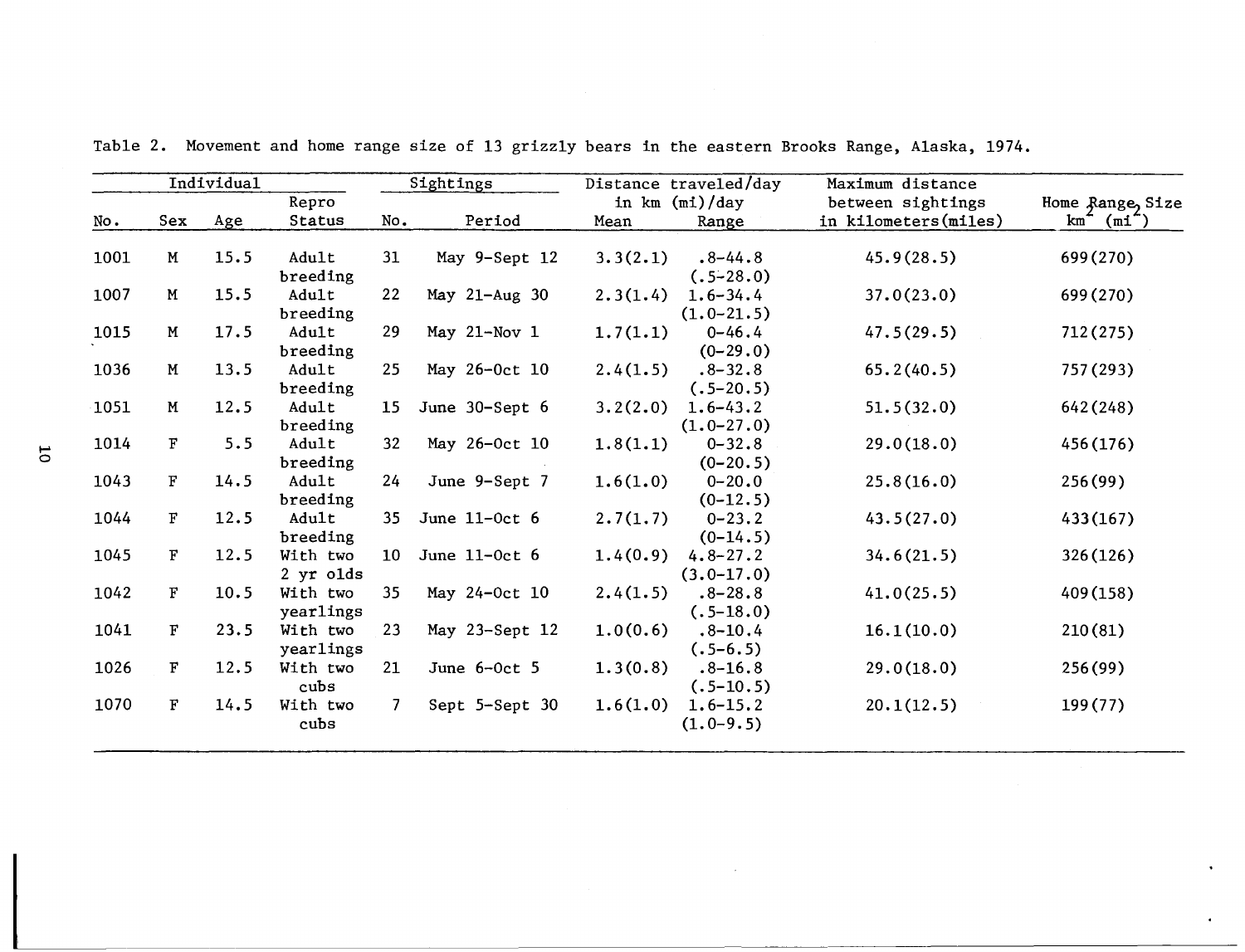|      |              | Individual |                 |                 | Sightings      |          | Distance traveled/day | Maximum distance                          |                            |
|------|--------------|------------|-----------------|-----------------|----------------|----------|-----------------------|-------------------------------------------|----------------------------|
|      | Sex          |            | Repro<br>Status | No.             | Period         |          | in $km \ (mi)/day$    | between sightings<br>in kilometers(miles) | Home Range, Size<br>$km^-$ |
| No.  |              | Age        |                 |                 |                | Mean     | Range                 |                                           | (mi                        |
| 1001 | $\,$ M       | 15.5       | Adult           | 31              | May 9-Sept 12  | 3.3(2.1) | $.8 - 44.8$           | 45.9(28.5)                                | 699 (270)                  |
|      |              |            | breeding        |                 |                |          | $(.5-28.0)$           |                                           |                            |
| 1007 | M            | 15.5       | Adult           | 22              | May 21-Aug 30  | 2.3(1.4) | $1.6 - 34.4$          | 37.0(23.0)                                | 699 (270)                  |
|      |              |            | breeding        |                 |                |          | $(1.0 - 21.5)$        |                                           |                            |
| 1015 | $\mathbf M$  | 17.5       | Adult           | 29              | May 21-Nov 1   | 1.7(1.1) | $0 - 46.4$            | 47.5(29.5)                                | 712 (275)                  |
|      |              |            | breeding        |                 |                |          | $(0-29.0)$            |                                           |                            |
| 1036 | M            | 13.5       | Adult           | 25              | May 26-Oct 10  | 2.4(1.5) | $.8 - 32.8$           | 65.2(40.5)                                | 757 (293)                  |
|      |              |            | breeding        |                 |                |          | $(.5-20.5)$           |                                           |                            |
| 1051 | $\mathbf M$  | 12.5       | Adult           | 15 <sub>1</sub> | June 30-Sept 6 | 3.2(2.0) | $1.6 - 43.2$          | 51.5(32.0)                                | 642 (248)                  |
|      |              |            | breeding        |                 |                |          | $(1.0 - 27.0)$        |                                           |                            |
| 1014 | $\mathbf F$  | 5.5        | Adult           | 32              | May 26-Oct 10  | 1.8(1.1) | $0 - 32.8$            | 29.0(18.0)                                | 456 (176)                  |
|      |              |            | breeding        |                 |                |          | $(0-20.5)$            |                                           |                            |
| 1043 | $\mathbf F$  | 14.5       | Adult           | 24              | June 9-Sept 7  | 1.6(1.0) | $0 - 20.0$            | 25.8(16.0)                                | 256(99)                    |
|      |              |            | breeding        |                 |                |          | $(0-12.5)$            |                                           |                            |
| 1044 | $\mathbf{F}$ | 12.5       | Adult           | 35              | June 11-0ct 6  | 2.7(1.7) | $0 - 23.2$            | 43.5(27.0)                                | 433(167)                   |
|      |              |            | breeding        |                 |                |          | $(0-14.5)$            |                                           |                            |
| 1045 | $\mathbf{F}$ | 12.5       | With two        | 10 <sup>°</sup> | June 11-Oct 6  | 1.4(0.9) | $4.8 - 27.2$          | 34.6(21.5)                                | 326(126)                   |
|      |              |            | $2$ yr olds     |                 |                |          | $(3.0 - 17.0)$        |                                           |                            |
| 1042 | $\mathbf{F}$ | 10.5       | With two        | 35              | May 24-Oct 10  | 2.4(1.5) | $.8 - 28.8$           | 41.0(25.5)                                | 409 (158)                  |
|      |              |            | yearlings       |                 |                |          | $(.5-18.0)$           |                                           |                            |
| 1041 | F            | 23.5       | With two        | 23              | May 23-Sept 12 | 1.0(0.6) | $.8 - 10.4$           | 16.1(10.0)                                | 210(81)                    |
|      |              |            | yearlings       |                 |                |          | $(.5-6.5)$            |                                           |                            |
| 1026 | $\mathbf{F}$ | 12.5       | With two        | 21              | June $6-0ct$ 5 | 1.3(0.8) | $.8 - 16.8$           | 29.0(18.0)                                | 256(99)                    |
|      |              |            | cubs            |                 |                |          | $(.5-10.5)$           |                                           |                            |
| 1070 | $\mathbf{F}$ | 14.5       | With two        | 7               | Sept 5-Sept 30 | 1.6(1.0) | $1.6 - 15.2$          | 20.1(12.5)                                | 199(77)                    |
|      |              |            | cubs            |                 |                |          | $(1.0-9.5)$           |                                           |                            |

Table 2. Movement and home range size of 13 grizzly bears in the eastern Brooks Range, Alaska, 1974.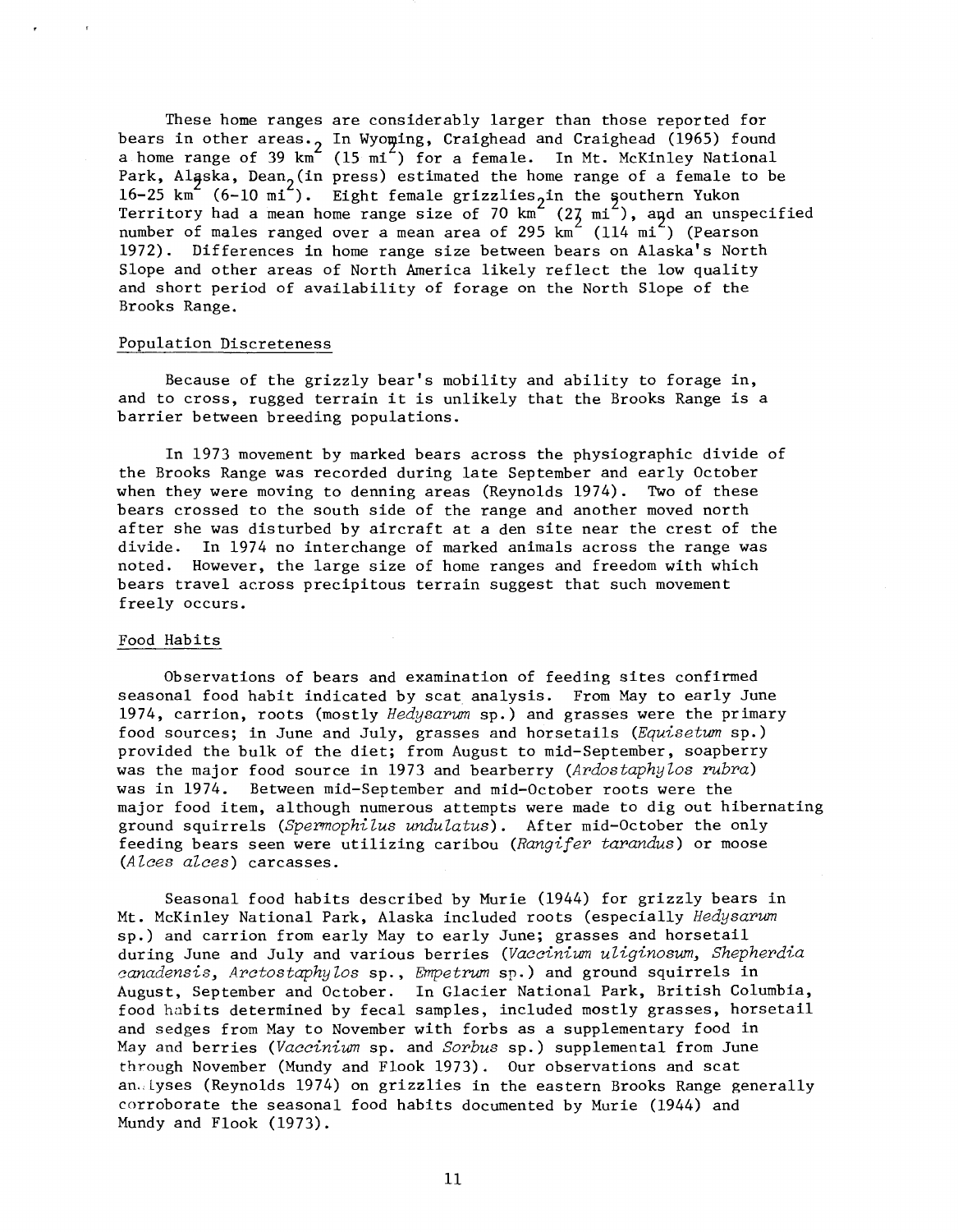These home ranges are considerably larger than those reported for bears in other areas. In Wyoming, Craighead and Craighead (1965) found<br>a home range of 39 km (15 mi) for a female. In Mt. McKinley National Park, Alaska, Dean (in press) estimated the home range of a female to be  $16-25 \text{ km}$  (6-10 mi). Eight female grizzlies in the southern Yukon Territory had a mean home range size of 70  $km^2$  (27 mi<sup>2</sup>), and an unspecified number of males ranged over a mean area of 295  $km^2$  (114 mi<sup>2</sup>) (Pearson 1972). Differences in home range size between bears on Alaska's North Slope and other areas of North America likely reflect the low quality and short period of availability of forage on the North Slope of the Brooks Range.

### Population Discreteness

Because of the grizzly bear's mobility and ability to forage in, and to cross, rugged terrain it is unlikely that the Brooks Range is a barrier between breeding populations.

In 1973 movement by marked bears across the physiographic divide of the Brooks Range was recorded during late September and early October when they were moving to denning areas (Reynolds 1974). Two of these bears crossed to the south side of the range and another moved north after she was disturbed by aircraft at a den site near the crest of the divide. In 1974 no interchange of marked animals across the range was noted. However, the large size of home ranges and freedom with which bears travel across precipitous terrain suggest that such movement freely occurs.

### Food Habits

Observations of bears and examination of feeding sites confirmed seasonal food habit indicated by scat analysis. From May to early June 1974, carrion, roots (mostly *Hedysarum* sp.) and grasses were the primary food sources; in June and July, grasses and horsetails *(Equisetwn* sp.) provided the bulk of the diet; from August to mid-September, soapberry was the major food source in 1973 and bearberry *(Ardostaphylos rubra)*  was in 1974. Between mid-September and mid-October roots were the major food item, although numerous attempts were made to dig out hibernating ground squirrels *(Spermophilus undulatus)*. After mid-October the only feeding bears seen were utilizing caribou *(Rangifer tarandus)* or moose *(Alces alces)* carcasses.

Seasonal food habits described by Murie (1944) for grizzly bears in Mt. McKinley National Park, Alaska included roots (especially *Hedysarwn*  sp.) and carrion from early May to early June; grasses and horsetail during June and July and various berries *(Vaccinium uliginoswn, Shepherdia canadensis, Arctostaphylos* sp., *Empetrum* sp.) and ground squirrels in August, September and October. In Glacier National Park, British Columbia, food habits determined by fecal samples, included mostly grasses, horsetail and sedges from May to November with forbs as a supplementary food in May and berries *(Vaccinium* sp. and *Sorbus* sp.) supplemental from June through November (Mundy and Flook 1973). Our observations and scat an., Lyses (Reynolds 1974) on grizzlies in the eastern Brooks Range generally corroborate the seasonal food habits documented by Murie (1944) and Mundy and Flook (1973).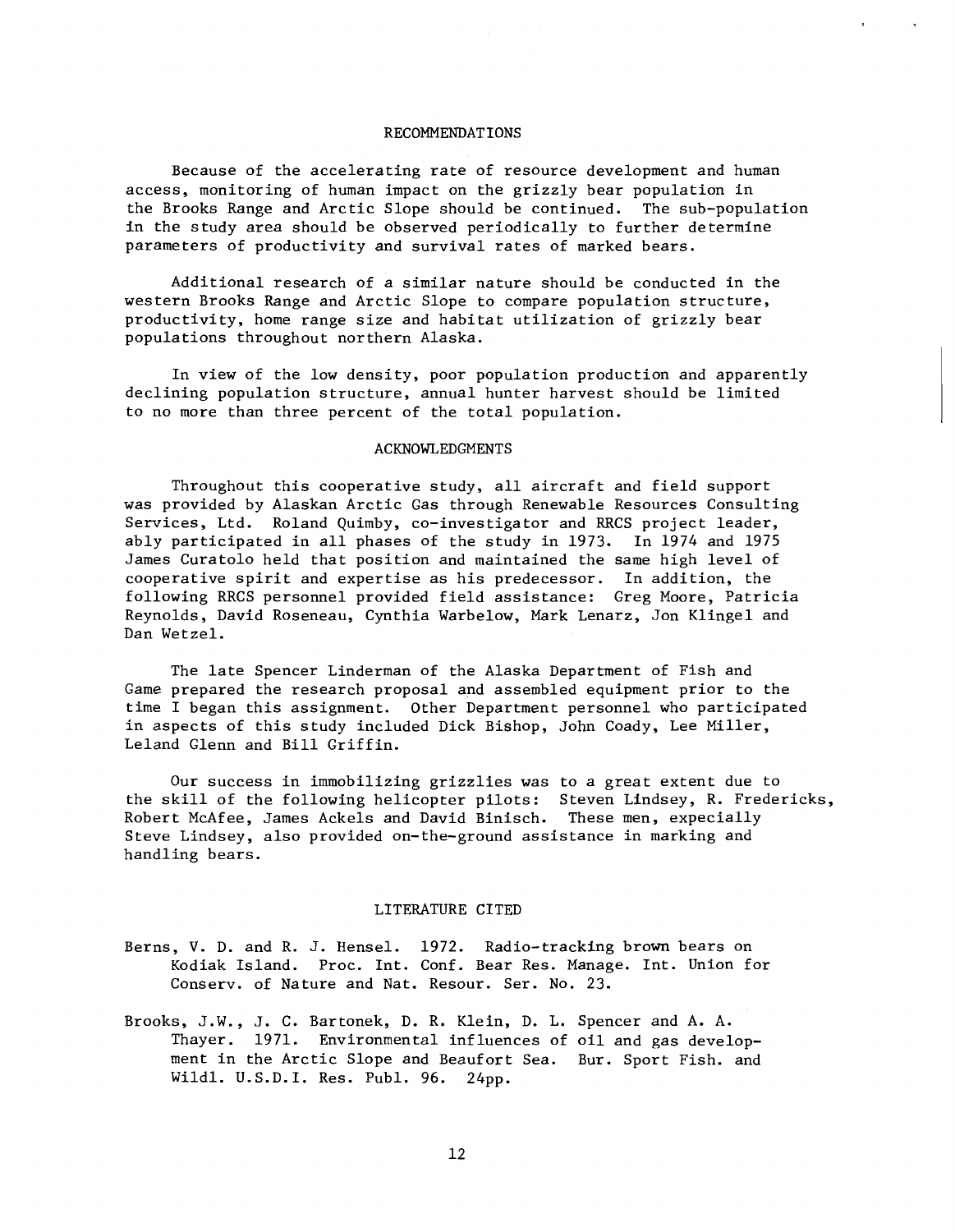# RECOMMENDATIONS

Because of the accelerating rate of resource development and human access, monitoring of human impact on the grizzly bear population in the Brooks Range and Arctic Slope should be continued. The sub-population in the study area should be observed periodically to further determine parameters of productivity and survival rates of marked bears.

Additional research of a similar nature should be conducted in the western Brooks Range and Arctic Slope to compare population structure, productivity, home range size and habitat utilization of grizzly bear populations throughout northern Alaska.

In view of the low density, poor population production and apparently declining population structure, annual hunter harvest should be limited to no more than three percent of the total population.

# ACKNOWLEDGMENTS

Throughout this cooperative study, all aircraft and field support was provided by Alaskan Arctic Gas through Renewable Resources Consulting Services, Ltd. Roland Quimby, co-investigator and RRCS project leader, ably participated in all phases of the study in 1973. In 1974 and 1975 James Curatolo held that position and maintained the same high level of cooperative spirit and expertise as his predecessor. In addition, the following RRCS personnel provided field assistance: Greg Moore, Patricia Reynolds, David Roseneau, Cynthia Warbelow, Mark Lenarz, Jon Klingel and Dan Wetzel.

The late Spencer Linderman of the Alaska Department of Fish and Game prepared the research proposal and assembled equipment prior to the time I began this assignment. Other Department personnel who participated in aspects of this study included Dick Bishop, John Coady, Lee Miller, Leland Glenn and Bill Griffin.

Our success in immobilizing grizzlies was to a great extent due to the skill of the following helicopter pilots: Steven Lindsey, R. Fredericks, Robert McAfee, James Ackels and David Binisch. These men, expecially Steve Lindsey, also provided on-the-ground assistance in marking and handling bears.

# LITERATURE CITED

- Berns, V. D. and R. J. Hensel. 1972. Radio-tracking brown bears on Kodiak Island. Proc. Int. Conf. Bear Res. Manage. Int. Union for Conserv. of Nature and Nat. Resour. Ser. No. 23.
- Brooks, J.W., J. C. Bartonek, D.R. Klein, D. L. Spencer and A. A. Thayer. 1971. Environmental influences of oil and gas development in the Arctic Slope and Beaufort Sea. Bur. Sport Fish. and Wildl. U.S.D.I. Res. Puhl. 96. 24pp.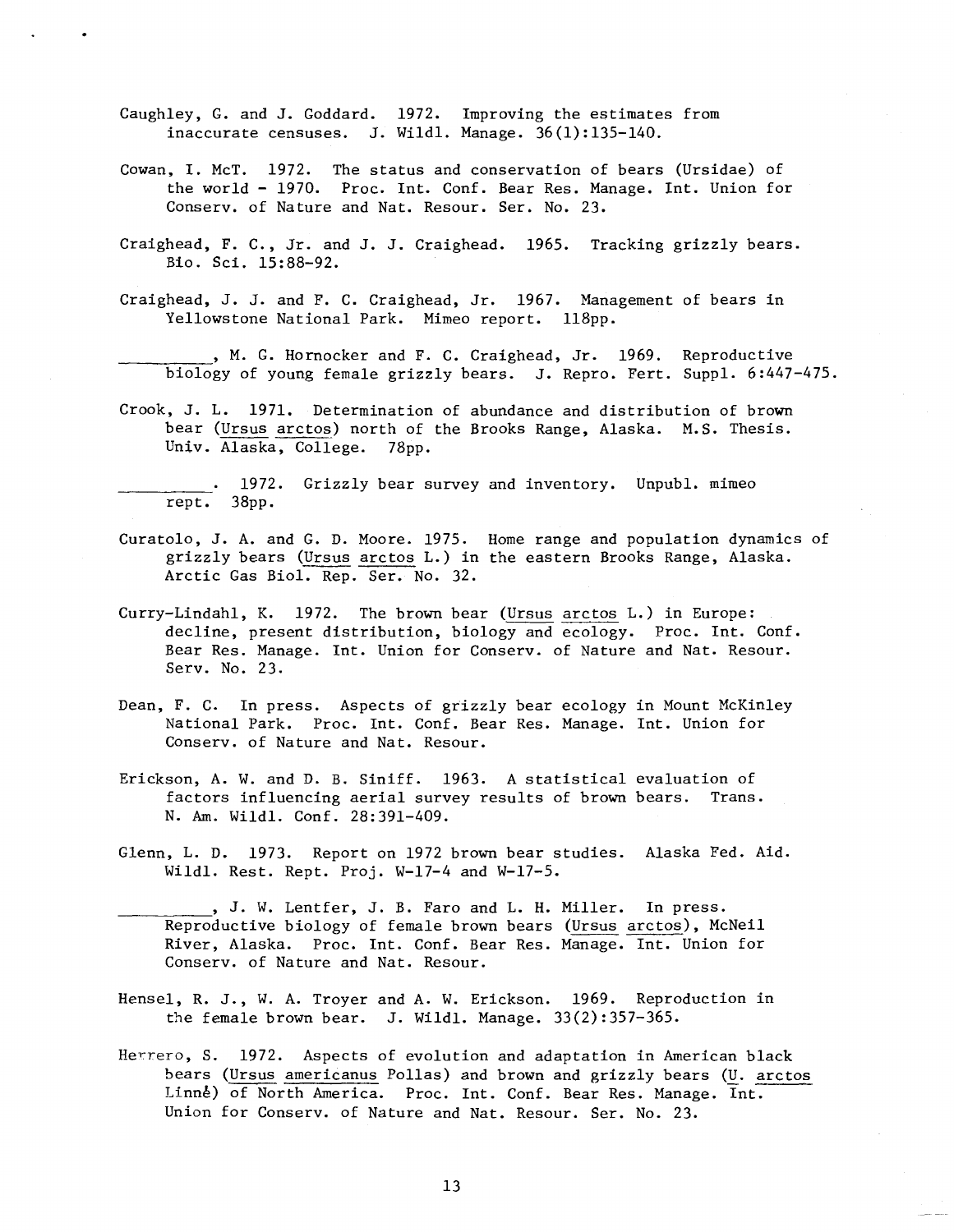- Caughley, G. and J. Goddard. 1972. Improving the estimates from inaccurate censuses. J. Wildl. Manage. 36(1):135-140.
- Cowan, I. McT. 1972. The status and conservation of bears (Ursidae) of the world - 1970. Proc. Int. Conf. Bear Res. Manage. Int. Union for Conserv. of Nature and Nat. Resour. Ser. No. 23.
- Craighead, F. C., Jr. and J. J. Craighead. 1965. Tracking grizzly bears. Bio. Sci. 15:88-92.
- Craighead, J. J. and F. C. Craighead, Jr. 1967. Management of bears in Yellowstone National Park. Mimeo report. 118pp.

, M. G. Hornocker and F. C. Craighead, Jr. 1969. Reproductive biology of young female grizzly bears. J. Repro. Fert. Suppl. 6:447-475.

Crook, J. L. 1971. Determination of abundance and distribution of brown bear (Ursus arctos) north of the Brooks Range, Alaska. M.S. Thesis. Univ. Alaska, College. 78pp.

1972. Grizzly bear survey and inventory. Unpubl. mimeo rept. 38pp.

- Curatolo, J. A. and G. D. Moore. 1975. Home range and population dynamics of grizzly bears (Ursus arctos L.) in the eastern Brooks Range, Alaska. Arctic Gas Biol. Rep. Ser. No. 32.
- Curry-Lindahl, K. 1972. The brown bear (Ursus arctos L.) in Europe: decline, present distribution, biology and ecology. Proc. Int. Conf. Bear Res. Manage. Int. Union for Conserv. of Nature and Nat. Resour. Serv. No. 23.
- Dean, F. C. In press. Aspects of grizzly bear ecology in Mount McKinley National Park. Proc. Int. Conf. Bear Res. Manage. Int. Union for Conserv. of Nature and Nat. Resour.
- Erickson, A. W. and D. B. Siniff. 1963. A statistical evaluation of factors influencing aerial survey results of brown bears. Trans. N. Am. Wildl. Conf. 28:391-409.
- Glenn, L. D. 1973. Report on 1972 brown bear studies. Alaska Fed. Aid. Wildl. Rest. Rept. Proj. W-17-4 and W-17-5.
- , J. W. Lentfer, J. B. Faro and L. H. Miller. In press. Reproductive biology of female brown bears (Ursus arctos), McNeil River, Alaska. Proc. Int. Conf. Bear Res. Manage. Int. Union for Conserv. of Nature and Nat. Resour.
- Hensel, R. J., W. A. Troyer and A. W. Erickson. 1969. Reproduction in the female brown bear. J. Wildl. Manage. 33(2):357-365.
- Herrero, S. 1972. Aspects of evolution and adaptation in American black bears (Ursus americanus Pallas) and brown and grizzly bears (U. arctos Linne) of North America. Proc. Int. Conf. Bear Res. Manage. Int. Union for Conserv. of Nature and Nat. Resour. Ser. No. 23.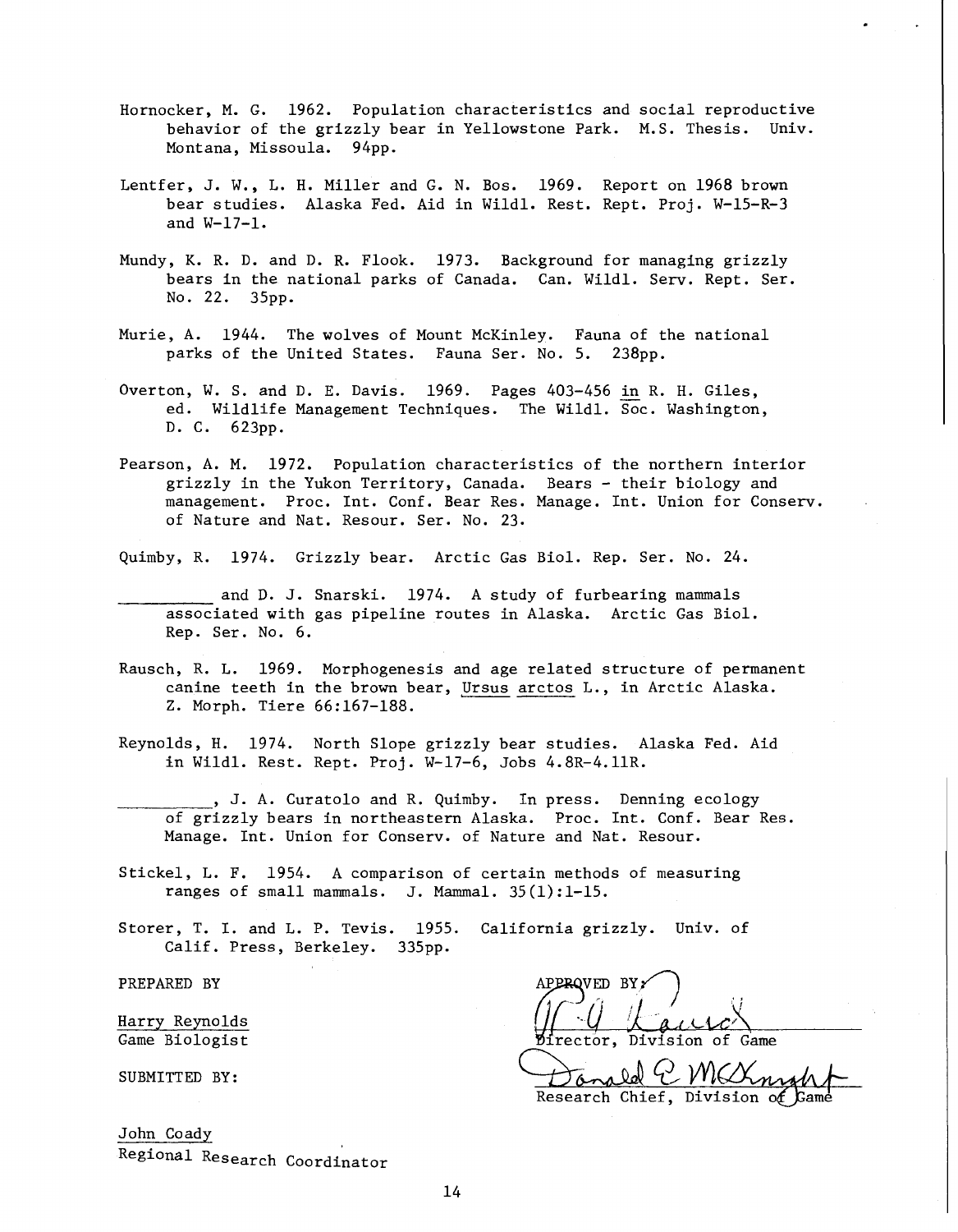- Hornocker, M. G. 1962. Population characteristics and social reproductive behavior of the grizzly bear in Yellowstone Park. M.S. Thesis. Univ. Montana, Missoula. 94pp.
- Lentfer, J. W., L. H. Miller and G. N. Bos. 1969. Report on 1968 brown bear studies. Alaska Fed. Aid in Wildl. Rest. Rept. Proj. W-15-R-3 and W-17-1.
- Mundy, K. R. D. and D. R. Flook. 1973. Background for managing grizzly bears in the national parks of Canada. Can. Wildl. Serv. Rept. Ser. No. 22. 35pp.
- Murie, A. 1944. The wolves of Mount McKinley. Fauna of the national parks of the United States. Fauna Ser. No. 5. 238pp.
- Overton, W. S. and D. E. Davis. 1969. Pages 403-456 in R. H. Giles, ed. Wildlife Management Techniques. The Wildl. Soc. Washington, D. C. 623pp.
- Pearson, A. M. 1972. Population characteristics of the northern interior grizzly in the Yukon Territory, Canada. Bears - their biology and management. Proc. Int. Conf. Bear Res. Manage. Int. Union for Conserv. of Nature and Nat. Resour. Ser. No. 23.
- Quimby, R. 1974. Grizzly bear. Arctic Gas Biol. Rep. Ser. No. 24.
- and D. J. Snarski. 1974. A study of furbearing mammals<br>associated with gas pipeline routes in Alaska. Arctic Gas Biol. and D. J. Snarski. 1974. A study of furbearing mammals Rep. Ser. No. 6.
- Rausch, R. L. 1969. Morphogenesis and age related structure of permanent canine teeth in the brown bear, Ursus arctos L., in Arctic Alaska. Z. Morph. Tiere 66:167-188.
- Reynolds, H. 1974. North Slope grizzly bear studies. Alaska Fed. Aid in Wildl. Rest. Rept. Proj. W-17-6, Jobs 4.8R-4.11R.
- ----- of grizzly bears in northeastern Alaska. Proc. Int. Conf. Bear Res. , J. A. Curatolo and R. Quimby. In press. Denning ecology Manage. Int. Union for Conserv. of Nature and Nat. Resour.
- Stickel, L. F. 1954. A comparison of certain methods of measuring ranges of small mammals. J. Mammal. 35(1):1-15.
- Storer, T. I. and L. P. Tevis. 1955. California grizzly. Univ. of Calif. Press, Berkeley. 335pp.

PREPARED BY

Harry Reynolds Game Biologist

SUBMITTED BY:

John Coady Regional Research Coordinator

APPROVED BY

ed C MCXn Research Chief, Division of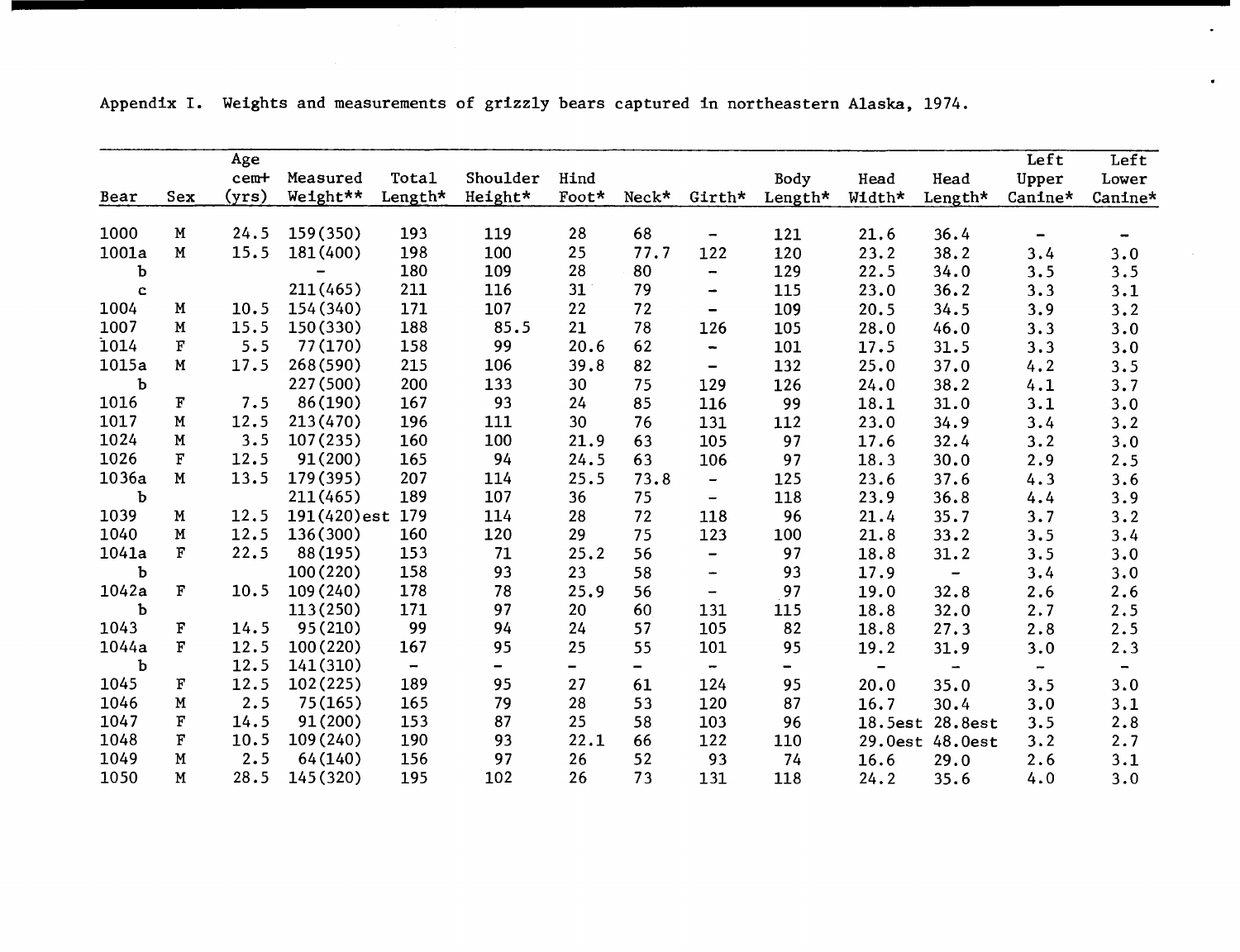|             |                       | Age   |             |                          |          |                          |       |                          |                          |                          |                          | Left                     | Left                     |
|-------------|-----------------------|-------|-------------|--------------------------|----------|--------------------------|-------|--------------------------|--------------------------|--------------------------|--------------------------|--------------------------|--------------------------|
|             |                       | cem+  | Measured    | Tota1                    | Shoulder | Hind                     |       |                          | Body                     | Head                     | Head                     | Upper                    | Lower                    |
| Bear        | Sex                   | (yrs) | Weight**    | Length*                  | Height*  | Foot*                    | Neck* | Girth*                   | Length*                  | Width*                   | Length*                  | Canine*                  | Canine*                  |
|             |                       |       | 159(350)    |                          |          |                          |       |                          |                          |                          |                          |                          |                          |
| 1000        | $\mathbf M$           | 24.5  |             | 193                      | 119      | 28                       | 68    | $\overline{\phantom{a}}$ | 121                      | 21.6                     | 36.4                     | $\overline{\phantom{m}}$ | $\overline{\phantom{m}}$ |
| 1001a       | $\mathbf M$           | 15.5  | 181 (400)   | 198                      | 100      | 25                       | 77.7  | 122                      | 120                      | 23.2                     | 38.2                     | 3.4                      | 3.0                      |
| b           |                       |       |             | 180                      | 109      | 28                       | 80    | $\blacksquare$           | 129                      | 22.5                     | 34.0                     | 3.5                      | 3.5                      |
| $\mathbf c$ |                       |       | 211 (465)   | 211                      | 116      | 31                       | 79    | $\overline{\phantom{0}}$ | 115                      | 23.0                     | 36.2                     | 3.3                      | 3.1                      |
| 1004        | $\mathbf M$           | 10.5  | 154 (340)   | 171                      | 107      | 22                       | 72    | $\overline{\phantom{0}}$ | 109                      | 20.5                     | 34.5                     | 3.9                      | 3.2                      |
| 1007        | M                     | 15.5  | 150(330)    | 188                      | 85.5     | 21                       | 78    | 126                      | 105                      | 28.0                     | 46.0                     | 3.3                      | 3.0                      |
| 1014        | F                     | 5.5   | 77(170)     | 158                      | 99       | 20.6                     | 62    | $\overline{\phantom{0}}$ | 101                      | 17.5                     | 31.5                     | 3.3                      | 3.0                      |
| 1015a       | M                     | 17.5  | 268(590)    | 215                      | 106      | 39.8                     | 82    | $\overline{\phantom{0}}$ | 132                      | 25.0                     | 37.0                     | 4.2                      | 3.5                      |
| Ъ           |                       |       | 227 (500)   | 200                      | 133      | 30                       | 75    | 129                      | 126                      | 24.0                     | 38.2                     | 4.1                      | 3.7                      |
| 1016        | F                     | 7.5   | 86(190)     | 167                      | 93       | 24                       | 85    | 116                      | 99                       | 18.1                     | 31.0                     | 3.1                      | 3.0                      |
| 1017        | M                     | 12.5  | 213(470)    | 196                      | 111      | 30                       | 76    | 131                      | 112                      | 23.0                     | 34.9                     | 3.4                      | 3.2                      |
| 1024        | M                     | 3.5   | 107(235)    | 160                      | 100      | 21.9                     | 63    | 105                      | 97                       | 17.6                     | 32.4                     | 3.2                      | 3.0                      |
| 1026        | F                     | 12.5  | 91(200)     | 165                      | 94       | 24.5                     | 63    | 106                      | 97                       | 18.3                     | 30.0                     | 2.9                      | 2.5                      |
| 1036a       | $\mathbf M$           | 13.5  | 179(395)    | 207                      | 114      | 25.5                     | 73.8  | $\qquad \qquad -$        | 125                      | 23.6                     | 37.6                     | 4.3                      | 3.6                      |
| Ъ           |                       |       | 211(465)    | 189                      | 107      | 36                       | 75    | $\overline{\phantom{0}}$ | 118                      | 23.9                     | 36.8                     | 4.4                      | 3.9                      |
| 1039        | М                     | 12.5  | 191(420)est | 179                      | 114      | 28                       | 72    | 118                      | 96                       | 21.4                     | 35.7                     | 3.7                      | 3.2                      |
| 1040        | Μ                     | 12.5  | 136(300)    | 160                      | 120      | 29                       | 75    | 123                      | 100                      | 21.8                     | 33.2                     | 3.5                      | 3.4                      |
| 1041a       | $\mathbf F$           | 22.5  | 88 (195)    | 153                      | 71       | 25.2                     | 56    | $\overline{\phantom{a}}$ | 97                       | 18.8                     | 31.2                     | 3.5                      | 3.0                      |
| Ъ           |                       |       | 100(220)    | 158                      | 93       | 23                       | 58    | $\overline{\phantom{0}}$ | 93                       | 17.9                     | $\overline{\phantom{a}}$ | 3.4                      | 3.0                      |
| 1042a       | $\Gamma$              | 10.5  | 109 (240)   | 178                      | 78       | 25.9                     | 56    | $\overline{\phantom{0}}$ | 97                       | 19.0                     | 32.8                     | 2.6                      | 2.6                      |
| b           |                       |       | 113(250)    | 171                      | 97       | 20                       | 60    | 131                      | 115                      | 18.8                     | 32.0                     | 2.7                      | 2.5                      |
| 1043        | $\Gamma$              | 14.5  | 95(210)     | 99                       | 94       | 24                       | 57    | 105                      | 82                       | 18.8                     | 27.3                     | 2.8                      | 2.5                      |
| 1044a       | $\overline{\text{F}}$ | 12.5  | 100(220)    | 167                      | 95       | 25                       | 55    | 101                      | 95                       | 19.2                     | 31.9                     | 3.0                      | 2.3                      |
| Ъ           |                       | 12.5  | 141(310)    | $\overline{\phantom{a}}$ | Ξ.       | $\overline{\phantom{0}}$ | Ξ.    | $\overline{\phantom{0}}$ | $\overline{\phantom{0}}$ | $\overline{\phantom{a}}$ | Ξ.                       | -                        | $\overline{\phantom{0}}$ |
| 1045        | $\Gamma$              | 12.5  | 102(225)    | 189                      | 95       | 27                       | 61    | 124                      | 95                       | 20.0                     | 35.0                     | 3.5                      | 3.0                      |
| 1046        | $\mathbf M$           | 2.5   | 75(165)     | 165                      | 79       | 28                       | 53    | 120                      | 87                       | 16.7                     | 30.4                     | 3.0                      | 3.1                      |
| 1047        | $\mathbf F$           | 14.5  | 91 (200)    | 153                      | 87       | 25                       | 58    | 103                      | 96                       |                          | 18.5est 28.8est          | 3.5                      | 2.8                      |
| 1048        | $\Gamma$              | 10.5  | 109 (240)   | 190                      | 93       | 22.1                     | 66    | 122                      | 110                      |                          | 29.0est 48.0est          | 3.2                      | 2.7                      |
| 1049        | M                     | 2.5   | 64 (140)    | 156                      | 97       | 26                       | 52    | 93                       | 74                       | 16.6                     | 29.0                     | 2.6                      | 3.1                      |
| 1050        | M                     | 28.5  | 145 (320)   | 195                      | 102      | 26                       | 73    | 131                      | 118                      | 24.2                     | 35.6                     | 4.0                      | 3.0                      |

 $\bullet$ 

 $\bullet$ 

Appendix I. Weights and measurements of grizzly bears captured in northeastern Alaska, 1974.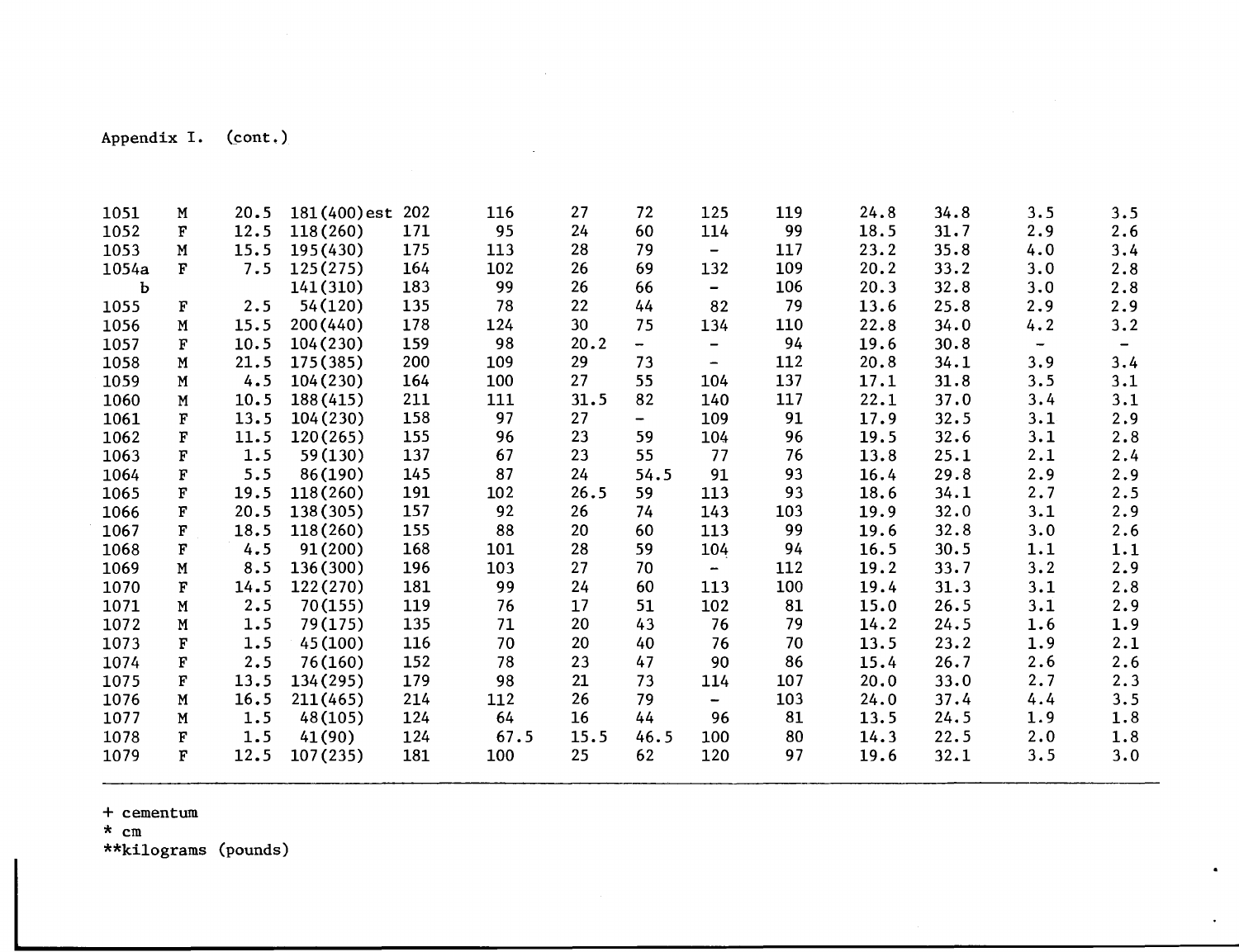Appendix I. (cont.)

| 1051  | M                     | 20.5 | 181(400)est | 202 | 116  | 27   | 72                       | 125                          | 119 | 24.8 | 34.8 | 3.5                      | 3.5               |
|-------|-----------------------|------|-------------|-----|------|------|--------------------------|------------------------------|-----|------|------|--------------------------|-------------------|
| 1052  | $\overline{\text{F}}$ | 12.5 | 118(260)    | 171 | 95   | 24   | 60                       | 114                          | 99  | 18.5 | 31.7 | 2.9                      | 2.6               |
| 1053  | M                     | 15.5 | 195(430)    | 175 | 113  | 28   | 79                       | $\qquad \qquad \blacksquare$ | 117 | 23.2 | 35.8 | 4.0                      | 3.4               |
| 1054a | F                     | 7.5  | 125(275)    | 164 | 102  | 26   | 69                       | 132                          | 109 | 20.2 | 33.2 | 3.0                      | 2.8               |
| ь     |                       |      | 141(310)    | 183 | 99   | 26   | 66                       | -                            | 106 | 20.3 | 32.8 | 3.0                      | 2.8               |
| 1055  | $\mathbf F$           | 2.5  | 54(120)     | 135 | 78   | 22   | 44                       | 82                           | 79  | 13.6 | 25.8 | 2.9                      | 2.9               |
| 1056  | M                     | 15.5 | 200 (440)   | 178 | 124  | 30   | 75                       | 134                          | 110 | 22.8 | 34.0 | 4.2                      | 3.2               |
| 1057  | F                     | 10.5 | 104 (230)   | 159 | 98   | 20.2 | $\overline{\phantom{0}}$ | -                            | 94  | 19.6 | 30.8 | $\overline{\phantom{a}}$ | $\qquad \qquad -$ |
| 1058  | M                     | 21.5 | 175(385)    | 200 | 109  | 29   | 73                       | -                            | 112 | 20.8 | 34.1 | 3.9                      | 3.4               |
| 1059  | M                     | 4.5  | 104 (230)   | 164 | 100  | 27   | 55                       | 104                          | 137 | 17.1 | 31.8 | 3.5                      | 3.1               |
| 1060  | N                     | 10.5 | 188 (415)   | 211 | 111  | 31.5 | 82                       | 140                          | 117 | 22.1 | 37.0 | 3.4                      | 3.1               |
| 1061  | $\mathbf F$           | 13.5 | 104 (230)   | 158 | 97   | 27   | $\overline{\phantom{0}}$ | 109                          | 91  | 17.9 | 32.5 | 3.1                      | 2.9               |
| 1062  | $\mathbf F$           | 11.5 | 120(265)    | 155 | 96   | 23   | 59                       | 104                          | 96  | 19.5 | 32.6 | 3.1                      | 2.8               |
| 1063  | F                     | 1.5  | 59(130)     | 137 | 67   | 23   | 55                       | 77                           | 76  | 13.8 | 25.1 | 2.1                      | 2.4               |
| 1064  | $\overline{\text{F}}$ | 5.5  | 86(190)     | 145 | 87   | 24   | 54.5                     | 91                           | 93  | 16.4 | 29.8 | 2.9                      | 2.9               |
| 1065  | F                     | 19.5 | 118(260)    | 191 | 102  | 26.5 | 59                       | 113                          | 93  | 18.6 | 34.1 | 2.7                      | 2.5               |
| 1066  | F                     | 20.5 | 138 (305)   | 157 | 92   | 26   | 74                       | 143                          | 103 | 19.9 | 32.0 | 3.1                      | 2.9               |
| 1067  | F                     | 18.5 | 118(260)    | 155 | 88   | 20   | 60                       | 113                          | 99  | 19.6 | 32.8 | 3.0                      | 2.6               |
| 1068  | F                     | 4.5  | 91(200)     | 168 | 101  | 28   | 59                       | 104                          | 94  | 16.5 | 30.5 | 1.1                      | 1.1               |
| 1069  | $\mathbf M$           | 8.5  | 136 (300)   | 196 | 103  | 27   | 70                       | $\overline{\phantom{a}}$     | 112 | 19.2 | 33.7 | 3.2                      | 2.9               |
| 1070  | F                     | 14.5 | 122(270)    | 181 | 99   | 24   | 60                       | 113                          | 100 | 19.4 | 31.3 | 3.1                      | 2.8               |
| 1071  | М                     | 2.5  | 70(155)     | 119 | 76   | 17   | 51                       | 102                          | 81  | 15.0 | 26.5 | 3.1                      | 2.9               |
| 1072  | M                     | 1.5  | 79(175)     | 135 | 71   | 20   | 43                       | 76                           | 79  | 14.2 | 24.5 | 1.6                      | 1.9               |
| 1073  | F                     | 1.5  | 45(100)     | 116 | 70   | 20   | 40                       | 76                           | 70  | 13.5 | 23.2 | 1.9                      | 2.1               |
| 1074  | F                     | 2.5  | 76(160)     | 152 | 78   | 23   | 47                       | 90                           | 86  | 15.4 | 26.7 | 2.6                      | 2.6               |
| 1075  | F                     | 13.5 | 134 (295)   | 179 | 98   | 21   | 73                       | 114                          | 107 | 20.0 | 33.0 | 2.7                      | 2.3               |
| 1076  | $\mathbf M$           | 16.5 | 211(465)    | 214 | 112  | 26   | 79                       | ÷                            | 103 | 24.0 | 37.4 | 4.4                      | 3.5               |
| 1077  | $\mathbf M$           | 1.5  | 48(105)     | 124 | 64   | 16   | 44                       | 96                           | 81  | 13.5 | 24.5 | 1.9                      | 1.8               |
| 1078  | F                     | 1.5  | 41(90)      | 124 | 67.5 | 15.5 | 46.5                     | 100                          | 80  | 14.3 | 22.5 | 2.0                      | 1.8               |
| 1079  | F                     | 12.5 | 107(235)    | 181 | 100  | 25   | 62                       | 120                          | 97  | 19.6 | 32.1 | 3.5                      | 3.0               |

 $\bullet$ 

 $\bullet$ 

+ cementum

\* cm \*\*kilograms (pounds)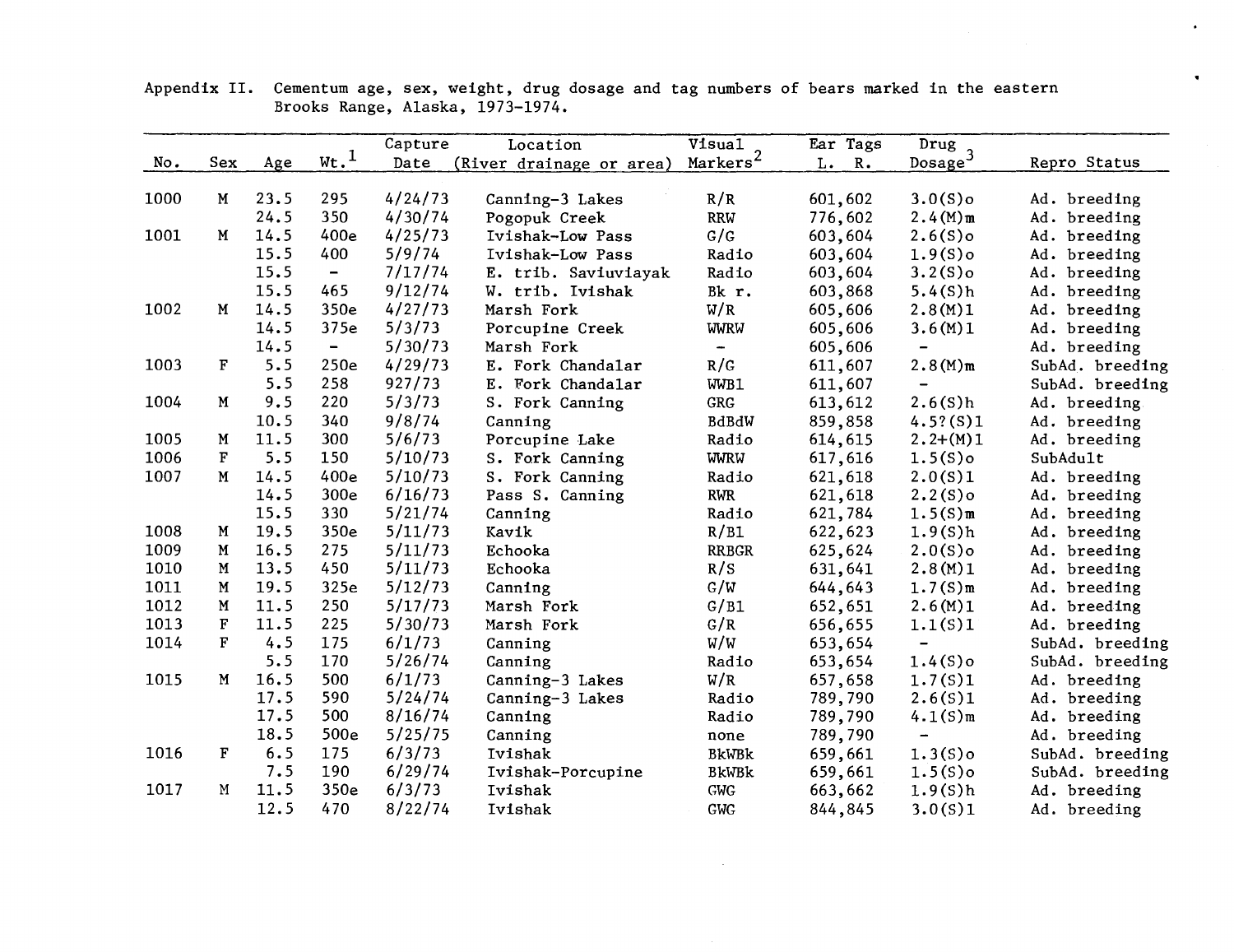|      |              |      |                              | Capture | Location                 | Visual             | Ear Tags            | Drug<br>Dosage <sup>3</sup> |                 |
|------|--------------|------|------------------------------|---------|--------------------------|--------------------|---------------------|-----------------------------|-----------------|
| No.  | Sex          | Age  | $\underline{\text{wt.}}^1$   | Date    | (River drainage or area) | Marks <sup>2</sup> | L.<br>$R_{\bullet}$ |                             | Repro Status    |
| 1000 | M            | 23.5 | 295                          | 4/24/73 | Canning-3 Lakes          | R/R                | 601,602             | $3.0(S)$ o                  | Ad. breeding    |
|      |              | 24.5 | 350                          | 4/30/74 | Pogopuk Creek            | <b>RRW</b>         | 776,602             | $2.4(M)$ m                  | Ad. breeding    |
| 1001 | M            | 14.5 | 400e                         | 4/25/73 | Ivishak-Low Pass         | G/G                | 603,604             | $2.6(S)$ o                  | Ad. breeding    |
|      |              | 15.5 | 400                          | 5/9/74  | Ivishak-Low Pass         | Radio              | 603,604             | $1.9(S)$ o                  | Ad. breeding    |
|      |              | 15.5 | $\overline{\phantom{a}}$     | 7/17/74 | E. trib. Saviuviayak     | Radio              | 603,604             | $3.2(S)$ o                  | Ad. breeding    |
|      |              | 15.5 | 465                          | 9/12/74 | W. trib. Ivishak         | Bk r.              | 603,868             | 5.4(S)h                     | Ad. breeding    |
| 1002 | M            | 14.5 | 350e                         | 4/27/73 | Marsh Fork               | W/R                | 605,606             | 2.8(M)1                     | Ad. breeding    |
|      |              | 14.5 | 375e                         | 5/3/73  | Porcupine Creek          | <b>WWRW</b>        | 605,606             | 3.6(M)1                     | Ad. breeding    |
|      |              | 14.5 | $\qquad \qquad \blacksquare$ | 5/30/73 | Marsh Fork               | $\frac{1}{2}$      | 605,606             | $\overline{\phantom{0}}$    | Ad. breeding    |
| 1003 | F            | 5.5  | 250e                         | 4/29/73 | E. Fork Chandalar        | R/G                | 611,607             | $2.8(M)$ m                  | SubAd. breeding |
|      |              | 5.5  | 258                          | 927/73  | E. Fork Chandalar        | WWB1               | 611,607             | $\overline{\phantom{0}}$    |                 |
| 1004 | $\mathbf M$  | 9.5  | 220                          | 5/3/73  |                          | GRG                |                     | 2.6(S)h                     | SubAd. breeding |
|      |              | 10.5 | 340                          | 9/8/74  | S. Fork Canning          |                    | 613,612             |                             | Ad. breeding.   |
| 1005 | M            | 11.5 | 300                          | 5/6/73  | Canning                  | BdBdW              | 859,858             | 4.5?(S)1                    | Ad. breeding    |
|      | F            | 5.5  | 150                          |         | Porcupine Lake           | Radio              | 614,615             | $2.2+(M)1$                  | Ad. breeding    |
| 1006 |              |      |                              | 5/10/73 | S. Fork Canning          | <b>WWRW</b>        | 617,616             | $1.5(S)$ o                  | SubAdult        |
| 1007 | M            | 14.5 | 400e                         | 5/10/73 | S. Fork Canning          | Radio              | 621,618             | 2.0(S)1                     | Ad. breeding    |
|      |              | 14.5 | 300e                         | 6/16/73 | Pass S. Canning          | <b>RWR</b>         | 621,618             | $2.2(S)$ o                  | Ad. breeding    |
|      |              | 15.5 | 330                          | 5/21/74 | Canning                  | Radio              | 621,784             | $1.5(S)$ m                  | Ad. breeding    |
| 1008 | M            | 19.5 | 350e                         | 5/11/73 | Kavik                    | R/B1               | 622,623             | 1.9(S)h                     | Ad. breeding    |
| 1009 | M            | 16.5 | 275                          | 5/11/73 | Echooka                  | <b>RRBGR</b>       | 625,624             | $2.0(S)$ o                  | Ad. breeding    |
| 1010 | ${\bf M}$    | 13.5 | 450                          | 5/11/73 | Echooka                  | R/S                | 631,641             | 2.8(M)1                     | Ad. breeding    |
| 1011 | M            | 19.5 | 325e                         | 5/12/73 | Canning                  | G/W                | 644,643             | $1.7(S)$ m                  | Ad. breeding    |
| 1012 | $\mathbf M$  | 11.5 | 250                          | 5/17/73 | Marsh Fork               | G/B1               | 652,651             | 2.6(M)1                     | Ad. breeding    |
| 1013 | $\mathbf F$  | 11.5 | 225                          | 5/30/73 | Marsh Fork               | G/R                | 656,655             | 1.1(S)1                     | Ad. breeding    |
| 1014 | $\mathbf{F}$ | 4.5  | 175                          | 6/1/73  | Canning                  | W/W                | 653,654             | $\overline{\phantom{0}}$    | SubAd. breeding |
|      |              | 5.5  | 170                          | 5/26/74 | Canning                  | Radio              | 653,654             | $1.4(S)$ o                  | SubAd. breeding |
| 1015 | $\mathbf M$  | 16.5 | 500                          | 6/1/73  | Canning-3 Lakes          | W/R                | 657,658             | 1.7(S)1                     | Ad. breeding    |
|      |              | 17.5 | 590                          | 5/24/74 | Canning-3 Lakes          | Radio              | 789,790             | 2.6(S)1                     | Ad. breeding    |
|      |              | 17.5 | 500                          | 8/16/74 | Canning                  | Radio              | 789,790             | $4.1(S)$ m                  | Ad. breeding    |
|      |              | 18.5 | 500e                         | 5/25/75 | Canning                  | none               | 789,790             | $\overline{\phantom{a}}$    | Ad. breeding    |
| 1016 | F            | 6.5  | 175                          | 6/3/73  | Ivishak                  | <b>BkWBk</b>       | 659,661             | $1.3(S)$ o                  | SubAd. breeding |
|      |              | 7.5  | 190                          | 6/29/74 | Ivishak-Porcupine        | <b>BkWBk</b>       | 659,661             | $1.5(S)$ o                  | SubAd. breeding |
| 1017 | M            | 11.5 | 350e                         | 6/3/73  | Ivishak                  | <b>GWG</b>         | 663,662             | 1.9(S)h                     | Ad. breeding    |
|      |              | 12.5 | 470                          | 8/22/74 | Ivishak                  | <b>GWG</b>         | 844,845             | 3.0(S)1                     | Ad. breeding    |

 $\sim$ 

 $\sim$ 

Appendix II. Cementum age, sex, weight, drug dosage and tag numbers of bears marked in the eastern Brooks Range, Alaska, 1973-1974.

 $\bullet$ 

 $\bullet$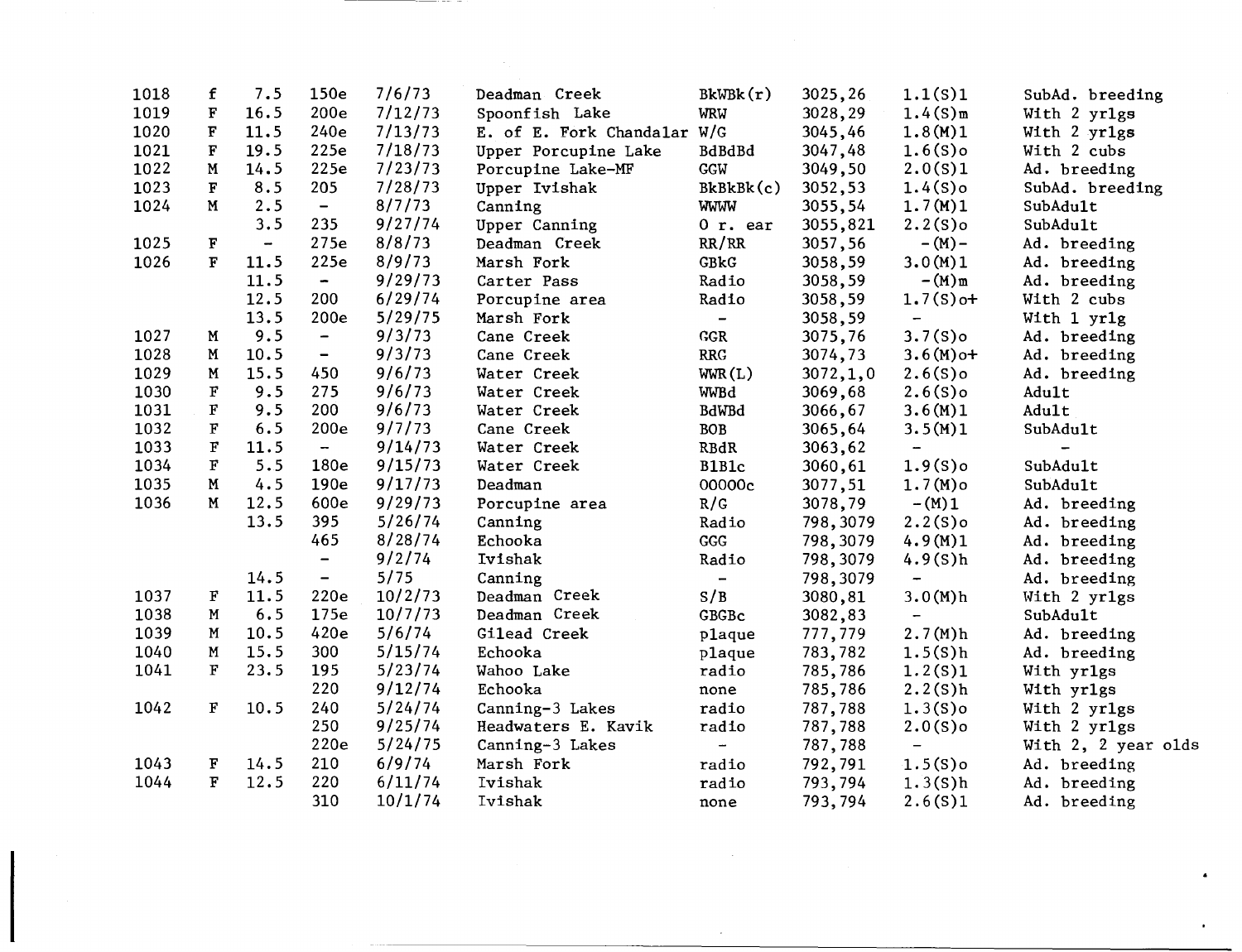| 1018 | f                       | 7.5                      | 150e                     | 7/6/73  | Deadman Creek               | BkWBk(r)                 | 3025,26    | 1.1(S)1                  | SubAd. breeding              |
|------|-------------------------|--------------------------|--------------------------|---------|-----------------------------|--------------------------|------------|--------------------------|------------------------------|
| 1019 | $\mathbf F$             | 16.5                     | 200 <sub>e</sub>         | 7/12/73 | Spoonfish Lake              | <b>WRW</b>               | 3028,29    | $1.4(S)$ m               | With 2 yr1gs                 |
| 1020 | $\mathbf F$             | 11.5                     | 240e                     | 7/13/73 | E. of E. Fork Chandalar W/G |                          | 3045,46    | 1.8(M)1                  | With 2 yr1gs                 |
| 1021 | $\overline{\textbf{F}}$ | 19.5                     | 225e                     | 7/18/73 | Upper Porcupine Lake        | BdBdBd                   | 3047,48    | $1.6(S)$ o               | With 2 cubs                  |
| 1022 | $\mathbf M$             | 14.5                     | 225e                     | 7/23/73 | Porcupine Lake-MF           | GGW                      | 3049,50    | 2.0(S)1                  | Ad. breeding                 |
| 1023 | $\mathbf F$             | 8.5                      | 205                      | 7/28/73 | Upper Ivishak               | BkBkBk(c)                | 3052,53    | $1.4(S)$ o               | SubAd. breeding              |
| 1024 | M                       | 2.5                      | $\blacksquare$           | 8/7/73  | Canning                     | <b>WWW</b>               | 3055,54    | 1.7(M)1                  | SubAdult                     |
|      |                         | 3.5                      | 235                      | 9/27/74 | Upper Canning               | $0$ r. ear               | 3055,821   | $2.2(S)$ o               | SubAdult                     |
| 1025 | $\mathbf F$             | $\overline{\phantom{m}}$ | 275e                     | 8/8/73  | Deadman Creek               | RR/RR                    | 3057,56    | $- (M) -$                | Ad. breeding                 |
| 1026 | $\mathbf F$             | 11.5                     | 225e                     | 8/9/73  | Marsh Fork                  | GBkG                     | 3058,59    | 3.0(M)1                  | Ad. breeding                 |
|      |                         | 11.5                     | $\overline{\phantom{a}}$ | 9/29/73 | Carter Pass                 | Radio                    | 3058,59    | $-(M)$ m                 | Ad. breeding                 |
|      |                         | 12.5                     | 200                      | 6/29/74 | Porcupine area              | Radio                    | 3058,59    | $1.7(S)$ o+              | With 2 cubs                  |
|      |                         | 13.5                     | 200e                     | 5/29/75 | Marsh Fork                  | $\overline{\phantom{a}}$ | 3058,59    | $\overline{\phantom{m}}$ | With 1 yr1g                  |
| 1027 | M                       | 9.5                      | $\overline{\phantom{a}}$ | 9/3/73  | Cane Creek                  | <b>GGR</b>               | 3075,76    | $3.7(S)$ o               | Ad. breeding                 |
| 1028 | M                       | 10.5                     | $\overline{\phantom{0}}$ | 9/3/73  | Cane Creek                  | <b>RRG</b>               | 3074,73    | $3.6(M)$ o+              | Ad. breeding                 |
| 1029 | ${\bf M}$               | 15.5                     | 450                      | 9/6/73  | Water Creek                 | WW(L)                    | 3072, 1, 0 | $2.6(S)$ o               | Ad. breeding                 |
| 1030 | $\mathbf F$             | 9.5                      | 275                      | 9/6/73  | Water Creek                 | WWBd                     | 3069,68    | $2.6(S)$ o               | Adult                        |
| 1031 | F                       | 9.5                      | 200                      | 9/6/73  | Water Creek                 | <b>BdWBd</b>             | 3066,67    | 3.6(M)1                  | Adult                        |
| 1032 | F                       | 6.5                      | 200e                     | 9/7/73  | Cane Creek                  | <b>BOB</b>               | 3065,64    | 3.5(M)1                  | SubAdult                     |
| 1033 | $\mathbf{F}$            | 11.5                     | $\overline{\phantom{a}}$ | 9/14/73 | Water Creek                 | <b>RBdR</b>              | 3063,62    | $\overline{\phantom{a}}$ | $\qquad \qquad \blacksquare$ |
| 1034 | $\mathbf F$             | 5.5                      | 180e                     | 9/15/73 | Water Creek                 | B1B1c                    | 3060, 61   | $1.9(S)$ o               | SubAdult                     |
| 1035 | M                       | 4.5                      | 190e                     | 9/17/73 | Deadman                     | 00000c                   | 3077,51    | $1.7(M)$ o               | SubAdult                     |
| 1036 | M                       | 12.5                     | 600e                     | 9/29/73 | Porcupine area              | R/G                      | 3078,79    | $-(M)1$                  | Ad. breeding                 |
|      |                         | 13.5                     | 395                      | 5/26/74 | Canning                     | Radio                    | 798,3079   | $2.2(S)$ o               | Ad. breeding                 |
|      |                         |                          | 465                      | 8/28/74 | Echooka                     | $_{\rm GGG}$             | 798,3079   | 4.9(M)1                  | Ad. breeding                 |
|      |                         |                          | $\qquad \qquad -$        | 9/2/74  | Ivishak                     | Radio                    | 798,3079   | 4.9(S)h                  | Ad. breeding                 |
|      |                         | 14.5                     | $\overline{\phantom{0}}$ | 5/75    | Canning                     | $\blacksquare$           | 798,3079   | $\overline{\phantom{m}}$ | Ad. breeding                 |
| 1037 | F                       | 11.5                     | 220e                     | 10/2/73 | Deadman Creek               | S/B                      | 3080,81    | 3.0(M)h                  | With 2 yr1gs                 |
| 1038 | M                       | 6.5                      | 175e                     | 10/7/73 | Deadman Creek               | GBGBc                    | 3082,83    | $\blacksquare$           | SubAdult                     |
| 1039 | $\mathbf M$             | 10.5                     | 420e                     | 5/6/74  | Gilead Creek                | plaque                   | 777,779    | 2.7(M)h                  | Ad. breeding                 |
| 1040 | $\mathbf M$             | 15.5                     | 300                      | 5/15/74 | Echooka                     | plaque                   | 783,782    | 1.5(S)h                  | Ad. breeding                 |
| 1041 | F                       | 23.5                     | 195                      | 5/23/74 | Wahoo Lake                  | radio                    | 785,786    | 1.2(S)1                  | With yr1gs                   |
|      |                         |                          | 220                      | 9/12/74 | Echooka                     | none                     | 785,786    | 2.2(S)h                  | With yr1gs                   |
| 1042 | $\mathbf F$             | 10.5                     | 240                      | 5/24/74 | Canning-3 Lakes             | radio                    | 787,788    | $1.3(S)$ o               | With 2 yr1gs                 |
|      |                         |                          | 250                      | 9/25/74 | Headwaters E. Kavik         | radio                    | 787,788    | $2.0(S)$ o               | With 2 yr1gs                 |
|      |                         |                          | 220e                     | 5/24/75 | Canning-3 Lakes             | $\overline{\phantom{a}}$ | 787,788    | $\overline{\phantom{a}}$ | With 2, 2 year olds          |
| 1043 | F                       | 14.5                     | 210                      | 6/9/74  | Marsh Fork                  | radio                    | 792,791    | $1.5(S)$ o               | Ad. breeding                 |
| 1044 | $\mathbf F$             | 12.5                     | 220                      | 6/11/74 | Ivishak                     | radio                    | 793,794    | 1.3(S)h                  | Ad. breeding                 |
|      |                         |                          | 310                      | 10/1/74 | Ivishak                     | none                     | 793,794    | 2.6(S)1                  | Ad. breeding                 |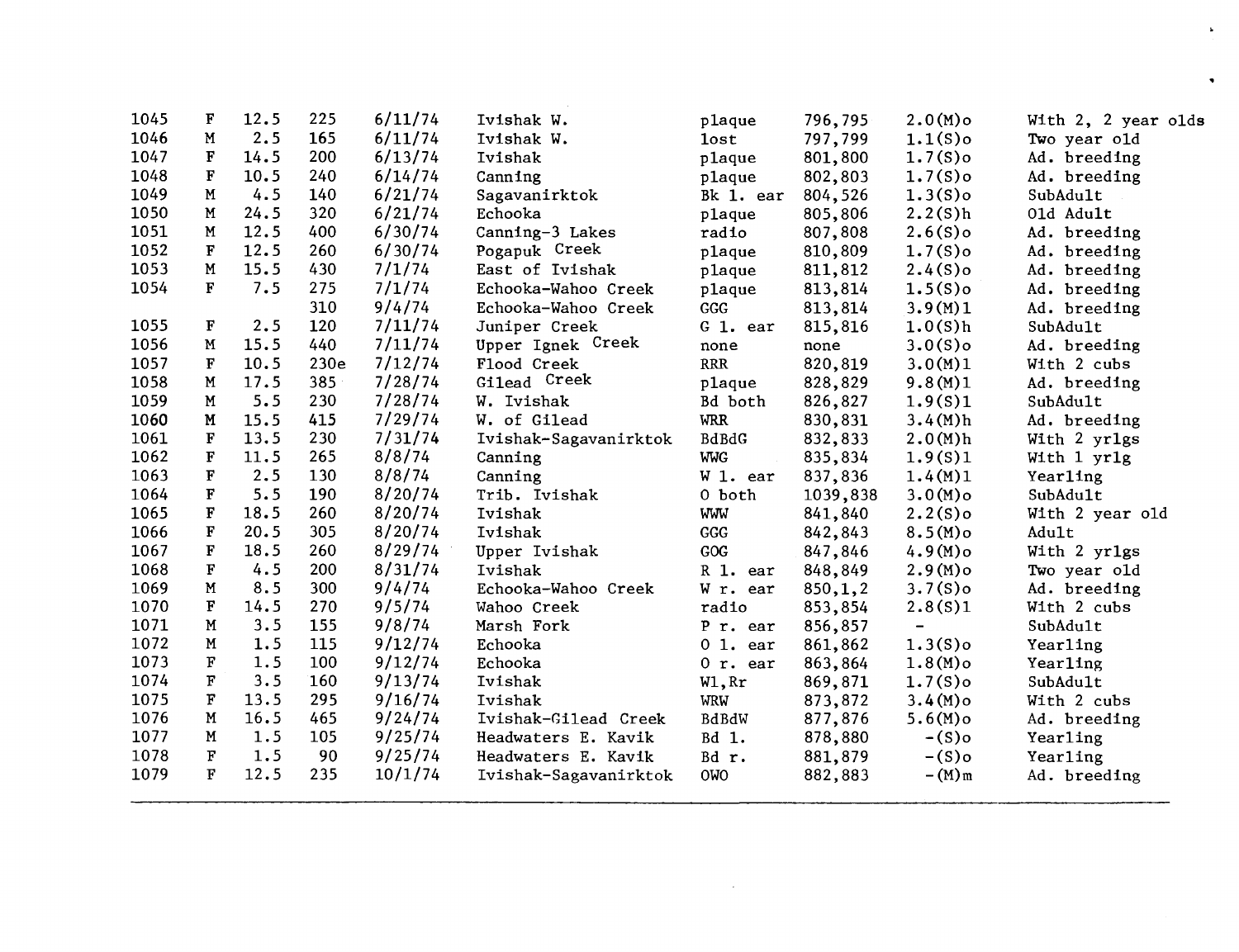| 1045 | F           | 12.5 | 225  | 6/11/74 | Ivishak W.            | plaque       | 796,795  | $2.0(M)$ o                   | With 2, 2 year olds |
|------|-------------|------|------|---------|-----------------------|--------------|----------|------------------------------|---------------------|
| 1046 | M           | 2.5  | 165  | 6/11/74 | Ivishak W.            | <b>lost</b>  | 797,799  | $1.1(S)$ o                   | Two year old        |
| 1047 | $\mathbf F$ | 14.5 | 200  | 6/13/74 | Ivishak               | plaque       | 801,800  | $1.7(S)$ o                   | Ad. breeding        |
| 1048 | F           | 10.5 | 240  | 6/14/74 | Canning               | plaque       | 802,803  | $1.7(S)$ o                   | Ad. breeding        |
| 1049 | M           | 4.5  | 140  | 6/21/74 | Sagavanirktok         | Bk 1. ear    | 804,526  | $1.3(S)$ o                   | SubAdult            |
| 1050 | M           | 24.5 | 320  | 6/21/74 | Echooka               | plaque       | 805,806  | 2.2(S)h                      | 01d Adult           |
| 1051 | M           | 12.5 | 400  | 6/30/74 | Canning-3 Lakes       | radio        | 807,808  | $2.6(S)$ o                   | Ad. breeding        |
| 1052 | F           | 12.5 | 260  | 6/30/74 | Pogapuk Creek         | plaque       | 810,809  | $1.7(S)$ o                   | Ad. breeding        |
| 1053 | M           | 15.5 | 430  | 7/1/74  | East of Ivishak       | plaque       | 811,812  | $2.4(S)$ o                   | Ad. breeding        |
| 1054 | F           | 7.5  | 275  | 7/1/74  | Echooka-Wahoo Creek   | plaque       | 813,814  | $1.5(S)$ o                   | Ad. breeding        |
|      |             |      | 310  | 9/4/74  | Echooka-Wahoo Creek   | GGG          | 813,814  | 3.9(M)1                      | Ad. breeding        |
| 1055 | F           | 2.5  | 120  | 7/11/74 | Juniper Creek         | G 1. ear     | 815,816  | 1.0(S)h                      | SubAdult            |
| 1056 | M           | 15.5 | 440  | 7/11/74 | Upper Ignek Creek     | none         | none     | $3.0(S)$ o                   | Ad. breeding        |
| 1057 | $\mathbf F$ | 10.5 | 230e | 7/12/74 | Flood Creek           | RRR          | 820,819  | 3.0(M)1                      | With 2 cubs         |
| 1058 | M           | 17.5 | 385  | 7/28/74 | Gilead Creek          | plaque       | 828,829  | 9.8(M)1                      | Ad. breeding        |
| 1059 | M           | 5.5  | 230  | 7/28/74 | W. Ivishak            | Bd both      | 826,827  | 1.9(S)1                      | SubAdult            |
| 1060 | M           | 15.5 | 415  | 7/29/74 | W. of Gilead          | <b>WRR</b>   | 830,831  | 3.4(M)h                      | Ad. breeding        |
| 1061 | $\mathbf F$ | 13.5 | 230  | 7/31/74 | Ivishak-Sagavanirktok | <b>BdBdG</b> | 832,833  | 2.0(M)h                      | With 2 yr1gs        |
| 1062 | F           | 11.5 | 265  | 8/8/74  | Canning               | <b>WWG</b>   | 835,834  | 1.9(S)1                      | With 1 yr1g         |
| 1063 | $\mathbf F$ | 2.5  | 130  | 8/8/74  | Canning               | W 1. ear     | 837,836  | 1.4(M)1                      | Yearling            |
| 1064 | $\mathbf F$ | 5.5  | 190  | 8/20/74 | Trib. Ivishak         | 0 both       | 1039,838 | $3.0(M)$ o                   | SubAdult            |
| 1065 | F           | 18.5 | 260  | 8/20/74 | Ivishak               | WWW          | 841,840  | $2.2(S)$ o                   | With 2 year old     |
| 1066 | F           | 20.5 | 305  | 8/20/74 | Ivishak               | GGG          | 842,843  | $8.5(M)$ o                   | Adult               |
| 1067 | $\mathbf F$ | 18.5 | 260  | 8/29/74 | Upper Ivishak         | GOG          | 847,846  | $4.9(M)$ o                   | With 2 yr1gs        |
| 1068 | $\mathbf F$ | 4.5  | 200  | 8/31/74 | Ivishak               | R 1. ear     | 848,849  | $2.9(M)$ o                   | Two year old        |
| 1069 | $\mathbf M$ | 8.5  | 300  | 9/4/74  | Echooka-Wahoo Creek   | W r. ear     | 850,1,2  | $3.7(S)$ o                   | Ad. breeding        |
| 1070 | $\mathbf F$ | 14.5 | 270  | 9/5/74  | Wahoo Creek           | radio        | 853,854  | 2.8(S)1                      | With 2 cubs         |
| 1071 | M           | 3.5  | 155  | 9/8/74  | Marsh Fork            | P r. ear     | 856,857  | $\qquad \qquad \blacksquare$ | SubAdult            |
| 1072 | M           | 1.5  | 115  | 9/12/74 | Echooka               | 01.ear       | 861,862  | $1.3(S)$ o                   | Yearling            |
| 1073 | F           | 1.5  | 100  | 9/12/74 | Echooka               | $0$ r. ear   | 863,864  | $1.8(M)$ o                   | Yearling            |
| 1074 | $\mathbf F$ | 3.5  | 160  | 9/13/74 | Ivishak               | W1, Rr       | 869,871  | $1.7(S)$ o                   | SubAdult            |
| 1075 | F           | 13.5 | 295  | 9/16/74 | Ivishak               | <b>WRW</b>   | 873,872  | $3.4(M)$ o                   | With 2 cubs         |
| 1076 | M           | 16.5 | 465  | 9/24/74 | Ivishak-Gilead Creek  | BdBdW        | 877,876  | $5.6(M)$ o                   | Ad. breeding        |
| 1077 | M           | 1.5  | 105  | 9/25/74 | Headwaters E. Kavik   | Bd 1.        | 878,880  | $-(S)$ o                     | Yearling            |
| 1078 | F           | 1.5  | 90   | 9/25/74 | Headwaters E. Kavik   | Bd r.        | 881,879  | $-(S)$ o                     | Yearling            |
| 1079 | F           | 12.5 | 235  | 10/1/74 | Ivishak-Sagavanirktok | <b>OWO</b>   | 882,883  | $-(M)$ m                     | Ad. breeding        |
|      |             |      |      |         |                       |              |          |                              |                     |

 $\mathcal{L}^{\text{max}}_{\text{max}}$  and  $\mathcal{L}^{\text{max}}_{\text{max}}$ 

 $\mathbf{r}$ 

 $\bullet$